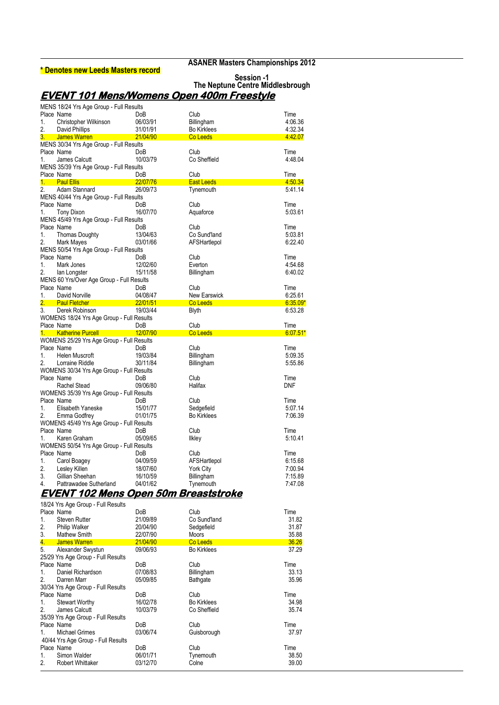#### **\* Denotes new Leeds Masters record**

**ASANER Masters Championships 2012**

|                                                  | Session -1                       |
|--------------------------------------------------|----------------------------------|
|                                                  | The Neptune Centre Middlesbrough |
| <b>EVENT 101 Mens/Womens Open 400m Freestyle</b> |                                  |

|         | MENS 18/24 Yrs Age Group - Full Results   |          |                     |            |
|---------|-------------------------------------------|----------|---------------------|------------|
|         | Place Name                                | DoB      | Club                | Time       |
| 1.      | Christopher Wilkinson                     | 06/03/91 | Billingham          | 4.06.36    |
| 2.      | David Phillips                            | 31/01/91 | <b>Bo Kirklees</b>  | 4:32.34    |
|         |                                           |          |                     |            |
|         | 3. James Warren                           | 21/04/90 | Co Leeds            | 4:42.07    |
|         | MENS 30/34 Yrs Age Group - Full Results   |          |                     |            |
|         | Place Name                                | DoB      | Club                | Time       |
| 1.      | James Calcutt                             | 10/03/79 | Co Sheffield        | 4.48.04    |
|         | MENS 35/39 Yrs Age Group - Full Results   |          |                     |            |
|         | Place Name                                | DoB      | Club                | Time       |
|         | 1. Paul Ellis                             | 22/07/76 | <b>East Leeds</b>   | 4:50.34    |
| 2.      | Adam Stannard                             | 26/09/73 | Tynemouth           | 5:41.14    |
|         |                                           |          |                     |            |
|         | MENS 40/44 Yrs Age Group - Full Results   |          |                     |            |
|         | Place Name                                | DoB      | Club                | Time       |
| 1.      | <b>Tony Dixon</b>                         | 16/07/70 | Aquaforce           | 5:03.61    |
|         | MENS 45/49 Yrs Age Group - Full Results   |          |                     |            |
|         | Place Name                                | DoB      | Club                | Time       |
| 1.      | <b>Thomas Doughty</b>                     | 13/04/63 | Co Sund'land        | 5:03.81    |
| 2.      | Mark Mayes                                | 03/01/66 | AFSHartlepol        | 6.22.40    |
|         | MENS 50/54 Yrs Age Group - Full Results   |          |                     |            |
|         | Place Name                                | DoB      | Club                | Time       |
|         |                                           |          |                     |            |
| 1.      | Mark Jones                                | 12/02/60 | Everton             | 4 54 68    |
| 2.      | lan Longster                              | 15/11/58 | Billingham          | 6.40.02    |
|         | MENS 60 Yrs/Over Age Group - Full Results |          |                     |            |
|         | Place Name                                | DoB      | Club                | Time       |
| 1.      | David Norville                            | 04/08/47 | <b>New Earswick</b> | 6:25.61    |
| 2.      | <b>Paul Fletcher</b>                      | 22/01/51 | Co Leeds            | $6.35.09*$ |
| 3.      | Derek Robinson                            | 19/03/44 | <b>Blyth</b>        | 6:53.28    |
|         | WOMENS 18/24 Yrs Age Group - Full Results |          |                     |            |
|         | Place Name                                | DoB      | Club                | Time       |
| $1_{-}$ |                                           | 12/07/90 | Co Leeds            | $6.07.51*$ |
|         | <b>Katherine Purcell</b>                  |          |                     |            |
|         | WOMENS 25/29 Yrs Age Group - Full Results |          |                     |            |
|         | Place Name                                | DoB      | Club                | Time       |
| 1.      | Helen Muscroft                            | 19/03/84 | Billingham          | 5:09.35    |
| 2.      | Lorraine Riddle                           | 30/11/84 | Billingham          | 5:55.86    |
|         | WOMENS 30/34 Yrs Age Group - Full Results |          |                     |            |
|         | Place Name                                | DoB      | Club                | Time       |
|         | Rachel Stead                              | 09/06/80 | Halifax             | <b>DNF</b> |
|         | WOMENS 35/39 Yrs Age Group - Full Results |          |                     |            |
|         | Place Name                                | DoB      | Club                | Time       |
|         |                                           |          |                     |            |
| 1.      | Elisabeth Yaneske                         | 15/01/77 | Sedgefield          | 5.07.14    |
| 2.      | Emma Godfrey                              | 01/01/75 | <b>Bo Kirklees</b>  | 7:06.39    |
|         | WOMENS 45/49 Yrs Age Group - Full Results |          |                     |            |
|         | Place Name                                | DoB      | Club                | Time       |
| 1.      | Karen Graham                              | 05/09/65 | Ilkley              | 5:10.41    |
|         | WOMENS 50/54 Yrs Age Group - Full Results |          |                     |            |
|         | Place Name                                | DoB      | Club                | Time       |
| 1.      | Carol Boagey                              | 04/09/59 | AFSHartlepol        | 6:15.68    |
| 2.      |                                           | 18/07/60 |                     | 7:00.94    |
|         | Lesley Killen                             |          | York City           |            |
| 3.      | Gillian Sheehan                           | 16/10/59 | Billingham          | 7:15.89    |
| 4.      | Pattrawadee Sutherland                    | 04/01/62 | Tynemouth           | 7:47.08    |
|         | EVENT 102 Mens Open 50m Breaststroke      |          |                     |            |
|         |                                           |          |                     |            |

| Time<br>31.82<br>31.87<br>35.88<br>36.26<br>37.29<br>Time<br>33.13 |
|--------------------------------------------------------------------|
|                                                                    |
|                                                                    |
|                                                                    |
|                                                                    |
|                                                                    |
|                                                                    |
|                                                                    |
|                                                                    |
|                                                                    |
| 35.96                                                              |
|                                                                    |
| Time                                                               |
| 34.98                                                              |
| 35.74                                                              |
|                                                                    |
| Time                                                               |
| 37.97                                                              |
|                                                                    |
| Time                                                               |
| 38.50                                                              |
| 39.00                                                              |
|                                                                    |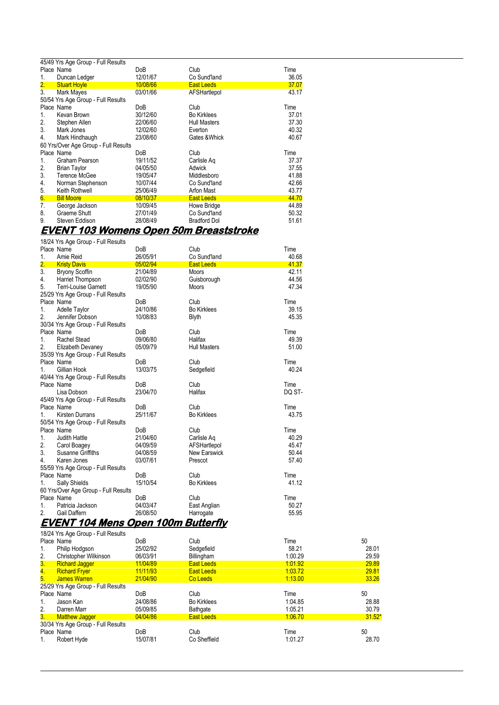|    | 45/49 Yrs Age Group - Full Results   |          |                     |       |  |
|----|--------------------------------------|----------|---------------------|-------|--|
|    | Place Name                           | DoB      | Club                | Time  |  |
| 1. | Duncan Ledger                        | 12/01/67 | Co Sund'land        | 36.05 |  |
| 2. | <b>Stuart Hoyle</b>                  | 10/08/66 | <b>East Leeds</b>   | 37.07 |  |
| 3. | Mark Mayes                           | 03/01/66 | AFSHartlepol        | 43.17 |  |
|    | 50/54 Yrs Age Group - Full Results   |          |                     |       |  |
|    | Place Name                           | DoB      | Club                | Time  |  |
| 1. | Kevan Brown                          | 30/12/60 | <b>Bo Kirklees</b>  | 37.01 |  |
| 2. | Stephen Allen                        | 22/06/60 | <b>Hull Masters</b> | 37.30 |  |
| 3. | Mark Jones                           | 12/02/60 | Everton             | 40.32 |  |
| 4. | Mark Hindhaugh                       | 23/08/60 | Gates & Whick       | 40.67 |  |
|    | 60 Yrs/Over Age Group - Full Results |          |                     |       |  |
|    | Place Name                           | DoB      | Club                | Time  |  |
| 1. | Graham Pearson                       | 19/11/52 | Carlisle Ag         | 37.37 |  |
| 2. | <b>Brian Taylor</b>                  | 04/05/50 | Adwick              | 37.55 |  |
| 3. | Terence McGee                        | 19/05/47 | Middlesboro         | 41.88 |  |
| 4. | Norman Stephenson                    | 10/07/44 | Co Sund'land        | 42.66 |  |
| 5. | Keith Rothwell                       | 25/06/49 | Arfon Mast          | 43.77 |  |
| 6. | <b>Bill Moore</b>                    | 08/10/37 | <b>East Leeds</b>   | 44.70 |  |
| 7. | George Jackson                       | 10/09/45 | Howe Bridge         | 44.89 |  |
| 8. | Graeme Shutt                         | 27/01/49 | Co Sund'land        | 50.32 |  |
| 9. | Steven Eddison                       | 28/08/49 | <b>Bradford Dol</b> | 51.61 |  |
|    |                                      |          |                     |       |  |

#### **EVENT 103 Womens Open 50m Breaststroke**

18/24 Yrs Age Group - Full Results

|                  | Place Name                           | <b>DoB</b>      | Club                | Time   |
|------------------|--------------------------------------|-----------------|---------------------|--------|
| 1.               | Amie Reid                            | 26/05/91        | Co Sund'land        | 40.68  |
| $\overline{2}$ . | <b>Kristy Davis</b>                  | 05/02/94        | <b>East Leeds</b>   | 41.37  |
| 3.               | <b>Bryony Scoffin</b>                | 21/04/89        | <b>Moors</b>        | 42.11  |
| 4.               | Harriet Thompson                     | 02/02/90        | Guisborough         | 44.56  |
| 5.               | <b>Terri-Louise Garnett</b>          | 19/05/90        | <b>Moors</b>        | 47.34  |
|                  | 25/29 Yrs Age Group - Full Results   |                 |                     |        |
|                  | Place Name                           | Do <sub>B</sub> | Club                | Time   |
| 1.               | Adelle Taylor                        | 24/10/86        | <b>Bo Kirklees</b>  | 39.15  |
| 2.               | Jennifer Dobson                      | 10/08/83        | <b>Blyth</b>        | 45.35  |
|                  | 30/34 Yrs Age Group - Full Results   |                 |                     |        |
|                  | Place Name                           | DoB             | Club                | Time   |
| 1.               | <b>Rachel Stead</b>                  | 09/06/80        | Halifax             | 49.39  |
| 2.               | Elizabeth Devaney                    | 05/09/79        | <b>Hull Masters</b> | 51.00  |
|                  | 35/39 Yrs Age Group - Full Results   |                 |                     |        |
|                  | Place Name                           | <b>DoB</b>      | Club                | Time   |
| 1.               | Gillian Hook                         | 13/03/75        | Sedgefield          | 40.24  |
|                  | 40/44 Yrs Age Group - Full Results   |                 |                     |        |
|                  | Place Name                           | Do <sub>B</sub> | Club                | Time   |
|                  | Lisa Dobson                          | 23/04/70        | Halifax             | DQ ST- |
|                  | 45/49 Yrs Age Group - Full Results   |                 |                     |        |
|                  | Place Name                           | <b>DoB</b>      | Club                | Time   |
| 1.               | <b>Kirsten Durrans</b>               | 25/11/67        | <b>Bo Kirklees</b>  | 43.75  |
|                  | 50/54 Yrs Age Group - Full Results   |                 |                     |        |
|                  | Place Name                           | <b>DoB</b>      | Club                | Time   |
| $1_{-}$          | Judith Hattle                        | 21/04/60        | Carlisle Ag         | 40.29  |
| 2.               | Carol Boagey                         | 04/09/59        | AFSHartlepol        | 45.47  |
| 3.               | Susanne Griffiths                    | 04/08/59        | <b>New Earswick</b> | 50.44  |
| 4.               | Karen Jones                          | 03/07/61        | Prescot             | 57.40  |
|                  | 55/59 Yrs Age Group - Full Results   |                 |                     |        |
|                  | Place Name                           | DoB             | Club                | Time   |
| 1.               | Sally Shields                        | 15/10/54        | <b>Bo Kirklees</b>  | 41.12  |
|                  | 60 Yrs/Over Age Group - Full Results |                 |                     |        |
|                  | Place Name                           | DoB             | Club                | Time   |
| 1.               | Patricia Jackson                     | 04/03/47        | East Anglian        | 50.27  |
| 2.               | Gail Daffern                         | 26/08/50        | Harrogate           | 55.95  |

#### **EVENT 104 Mens Open 100m Butterfly**  18/24 Yrs Age Group - Full Results

|                  | TOIZ4 TTS AUG OTOUP - I UIT NOSUITS |            |                    |         |          |
|------------------|-------------------------------------|------------|--------------------|---------|----------|
|                  | Place Name                          | <b>DoB</b> | Club               | Time    | 50       |
| 1.               | Philip Hodgson                      | 25/02/92   | Sedgefield         | 58.21   | 28.01    |
| 2.               | Christopher Wilkinson               | 06/03/91   | Billingham         | 1.00.29 | 29.59    |
| 3.               | <b>Richard Jagger</b>               | 11/04/89   | <b>East Leeds</b>  | 1.01.92 | 29.89    |
| $\overline{4}$ . | <b>Richard Fryer</b>                | 11/11/93   | <b>East Leeds</b>  | 1.03.72 | 29.81    |
| 5.               | <b>James Warren</b>                 | 21/04/90   | Co Leeds           | 1:13.00 | 33.26    |
|                  | 25/29 Yrs Age Group - Full Results  |            |                    |         |          |
|                  |                                     |            |                    |         |          |
| Place Name       |                                     | DoB        | Club               | Time    | 50       |
| $\mathbf{1}$ .   | Jason Kan                           | 24/08/86   | <b>Bo Kirklees</b> | 1.04.85 | 28.88    |
| 2.               | Darren Marr                         | 05/09/85   | Bathgate           | 1:05.21 | 30.79    |
| 3 <sub>1</sub>   | <b>Matthew Jagger</b>               | 04/04/86   | <b>East Leeds</b>  | 1.06.70 | $31.52*$ |
|                  | 30/34 Yrs Age Group - Full Results  |            |                    |         |          |
|                  | Place Name                          | DoB        | Club               | Time    | 50       |
| 1.               | Robert Hyde                         | 15/07/81   | Co Sheffield       | 1:01.27 | 28.70    |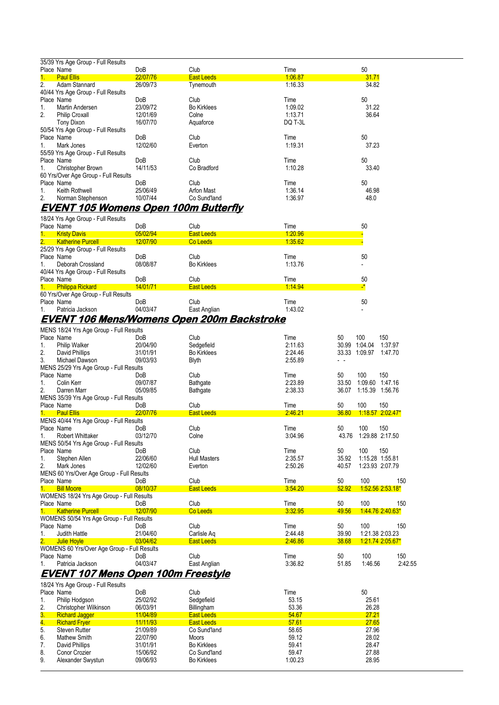|                | 35/39 Yrs Age Group - Full Results   |                 |                    |         |       |
|----------------|--------------------------------------|-----------------|--------------------|---------|-------|
|                | Place Name                           | DoB             | Club               | Time    | 50    |
| $1_{-}$        | <b>Paul Ellis</b>                    | 22/07/76        | <b>East Leeds</b>  | 1:06.87 | 31.71 |
| 2.             | Adam Stannard                        | 26/09/73        | Tynemouth          | 1:16.33 | 34.82 |
|                | 40/44 Yrs Age Group - Full Results   |                 |                    |         |       |
|                | Place Name                           | DoB             | Club               | Time    | 50    |
| 1.             | Martin Andersen                      | 23/09/72        | <b>Bo Kirklees</b> | 1:09.02 | 31.22 |
| 2.             | <b>Philip Croxall</b>                | 12/01/69        | Colne              | 1:13.71 | 36.64 |
|                | Tony Dixon                           | 16/07/70        | Aquaforce          | DQ T-3L |       |
|                | 50/54 Yrs Age Group - Full Results   |                 |                    |         |       |
|                | Place Name                           | Do <sub>B</sub> | Club               | Time    | 50    |
| $1_{-}$        | Mark Jones                           | 12/02/60        | Everton            | 1:19.31 | 37.23 |
|                | 55/59 Yrs Age Group - Full Results   |                 |                    |         |       |
|                | Place Name                           | DoB             | Club               | Time    | 50    |
| 1.             | Christopher Brown                    | 14/11/53        | Co Bradford        | 1:10.28 | 33.40 |
|                | 60 Yrs/Over Age Group - Full Results |                 |                    |         |       |
|                | Place Name                           | <b>DoB</b>      | Club               | Time    | 50    |
| $\mathbf{1}$ . | Keith Rothwell                       | 25/06/49        | Arfon Mast         | 1:36.14 | 46.98 |
| 2.             | Norman Stephenson                    | 10/07/44        | Co Sund'land       | 1:36.97 | 48.0  |

#### **EVENT 105 Womens Open 100m Butterfly**

|                | 18/24 Yrs Age Group - Full Results   |          |                    |         |              |
|----------------|--------------------------------------|----------|--------------------|---------|--------------|
|                | Place Name                           | DoB      | Club               | Time    | 50           |
| $\mathbf{1}$ . | <b>Kristy Davis</b>                  | 05/02/94 | <b>East Leeds</b>  | 1.20.96 |              |
| 2.             | <b>Katherine Purcell</b>             | 12/07/90 | Co Leeds           | 1:35.62 |              |
|                | 25/29 Yrs Age Group - Full Results   |          |                    |         |              |
|                | Place Name                           | DoB      | Club               | Time    | 50           |
| $1_{-}$        | Deborah Crossland                    | 08/08/87 | <b>Bo Kirklees</b> | 1:13.76 |              |
|                | 40/44 Yrs Age Group - Full Results   |          |                    |         |              |
|                | Place Name                           | DoB      | Club               | Time    | 50           |
| 1.             | <b>Philippa Rickard</b>              | 14/01/71 | <b>East Leeds</b>  | 1:14.94 | $\mathbf{r}$ |
|                | 60 Yrs/Over Age Group - Full Results |          |                    |         |              |
|                | Place Name                           | DoB      | Club               | Time    | 50           |
|                | Patricia Jackson                     | 04/03/47 | East Anglian       | 1.43.02 |              |

## **EVENT 106 Mens/Womens Open 200m Backstroke**

|                | MENS 18/24 Yrs Age Group - Full Results     |                   |                     |         |       |                 |                    |
|----------------|---------------------------------------------|-------------------|---------------------|---------|-------|-----------------|--------------------|
|                | Place Name                                  | DoB               | Club                | Time    | 50    | 100             | 150                |
| 1.             | Philip Walker                               | 20/04/90          | Sedgefield          | 2:11.63 | 30.99 | 1:04.04         | 1:37.97            |
| 2.             | David Phillips                              | 31/01/91          | <b>Bo Kirklees</b>  | 2:24.46 |       | 33.33 1:09.97   | 1:47.70            |
| 3.             | Michael Dawson                              | 09/03/93          | <b>Blyth</b>        | 2:55.89 |       |                 |                    |
|                | MENS 25/29 Yrs Age Group - Full Results     |                   |                     |         |       |                 |                    |
| Place Name     |                                             | <b>DoB</b>        | Club                | Time    | 50    | 100             | 150                |
| 1.             | Colin Kerr                                  | 09/07/87          | Bathgate            | 2:23.89 | 33.50 | 1:09.60         | 1.47.16            |
| 2.             | Darren Marr                                 | 05/09/85          | Bathgate            | 2:38.33 | 36.07 | 1:15.39 1:56.76 |                    |
|                | MENS 35/39 Yrs Age Group - Full Results     |                   |                     |         |       |                 |                    |
|                | Place Name                                  | <b>DoB</b>        | Club                | Time    | 50    | 100             | 150                |
|                | <b>Paul Ellis</b>                           | 22/07/76          | <b>East Leeds</b>   | 2:46.21 | 36.80 |                 | $1:18.57$ 2.02.47* |
|                | MENS 40/44 Yrs Age Group - Full Results     |                   |                     |         |       |                 |                    |
|                | Place Name                                  | <b>DoB</b>        | Club                | Time    | 50    | 100             | 150                |
| 1.             | Robert Whittaker                            | 03/12/70          | Colne               | 3:04.96 | 43.76 |                 | 1:29.88 2:17.50    |
|                | MENS 50/54 Yrs Age Group - Full Results     |                   |                     |         |       |                 |                    |
|                | Place Name                                  | DoB               | Club                | Time    | 50    | 100             | 150                |
| 1.             | Stephen Allen                               | 22/06/60          | <b>Hull Masters</b> | 2:35.57 | 35.92 | 1:15.28 1:55.81 |                    |
| 2.             | Mark Jones                                  | 12/02/60          | Everton             | 2:50.26 | 40.57 |                 | 1:23.93 2:07.79    |
|                | MENS 60 Yrs/Over Age Group - Full Results   |                   |                     |         |       |                 |                    |
|                | Place Name                                  | <b>DoB</b>        | Club                | Time    | 50    | 100             | 150                |
|                | <b>Bill Moore</b>                           | 08/10/37          | <b>East Leeds</b>   | 3:54.20 | 52.92 |                 | 1:52.56 2:53.18*   |
|                | WOMENS 18/24 Yrs Age Group - Full Results   |                   |                     |         |       |                 |                    |
|                | Place Name                                  | <b>DoB</b>        | Club                | Time    | 50    | 100             | 150                |
|                | <b>Katherine Purcell</b>                    | 12/07/90          | Co Leeds            | 3:32.95 | 49.56 |                 | 1.44.76 2.40.63*   |
|                | WOMENS 50/54 Yrs Age Group - Full Results   |                   |                     |         |       |                 |                    |
|                | Place Name                                  | <b>DoB</b>        | Club                | Time    | 50    | 100             | 150                |
| $\mathbf{1}$ . | Judith Hattle                               | 21/04/60          | Carlisle Ag         | 2:44.48 | 39.90 |                 | 1:21.38 2:03.23    |
| 2.             | <b>Julie Hoyle</b>                          | 03/04/62          | <b>East Leeds</b>   | 2:46.86 | 38.68 |                 | 1:21.74 2:05.67*   |
|                | WOMENS 60 Yrs/Over Age Group - Full Results |                   |                     |         |       |                 |                    |
|                | Place Name                                  | <b>DoB</b>        | Club                | Time    | 50    | 100             | 150                |
|                | Patricia Jackson                            | 04/03/47          | East Anglian        | 3:36.82 | 51.85 | 1:46.56         | 2:42.55            |
|                | <i>FUELLE JAS 11</i>                        | <i>A</i> AA<br>∽… | <i></i>             |         |       |                 |                    |

#### **EVENT 107 Mens Open 100m Freestyle**  18/24 Yrs Age Group - Full Results

|                  | TO/24 TTS Age Group - Full Results |          |                    |         |       |
|------------------|------------------------------------|----------|--------------------|---------|-------|
|                  | Place Name                         | DoB      | Club               | Time    | 50    |
| 1.               | Philip Hodgson                     | 25/02/92 | Sedgefield         | 53.15   | 25.61 |
| 2.               | Christopher Wilkinson              | 06/03/91 | Billingham         | 53.36   | 26.28 |
| 3.               | <b>Richard Jagger</b>              | 11/04/89 | <b>East Leeds</b>  | 54.67   | 27.21 |
| $\overline{4}$ . | <b>Richard Fryer</b>               | 11/11/93 | <b>East Leeds</b>  | 57.61   | 27.65 |
| 5.               | <b>Steven Rutter</b>               | 21/09/89 | Co Sund'land       | 58.65   | 27.96 |
| 6.               | Mathew Smith                       | 22/07/90 | Moors              | 59.12   | 28.02 |
| 7.               | David Phillips                     | 31/01/91 | <b>Bo Kirklees</b> | 59.41   | 28.47 |
| 8.               | Conor Crozier                      | 15/06/92 | Co Sund'land       | 59.47   | 27.88 |
| 9.               | Alexander Swystun                  | 09/06/93 | <b>Bo Kirklees</b> | 1:00.23 | 28.95 |
|                  |                                    |          |                    |         |       |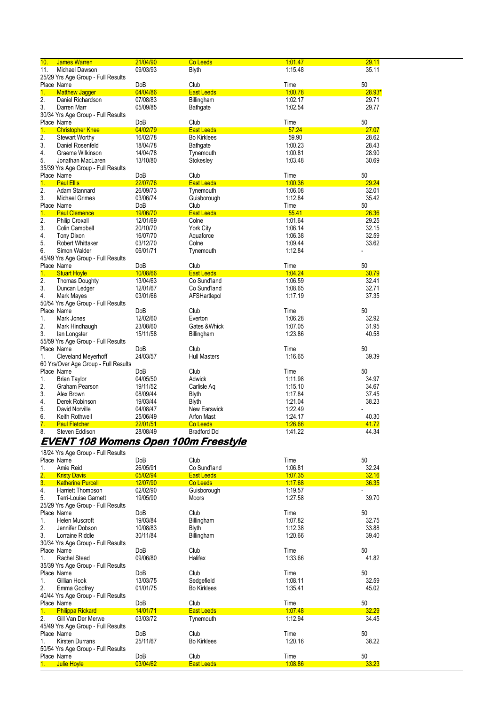| 11.<br>Michael Dawson<br>09/03/93<br>Blyth<br>1:15.48<br>35.11<br>25/29 Yrs Age Group - Full Results<br>50<br>Place Name<br>DoB<br>Club<br>Time<br>1 <sub>1</sub><br>04/04/86<br><b>East Leeds</b><br>1:00.78<br><b>Matthew Jagger</b><br>$28.93*$<br>$\overline{2}$ .<br>Daniel Richardson<br>07/08/83<br>Billingham<br>1:02.17<br>29.71<br>3.<br>1:02.54<br>29.77<br>Darren Marr<br>05/09/85<br>Bathgate<br>30/34 Yrs Age Group - Full Results<br>50<br>Place Name<br>DoB<br>Club<br>Time<br>57.24<br>27.07<br>1.<br><b>Christopher Knee</b><br>04/02/79<br><b>East Leeds</b><br>$\overline{2}$ .<br>59.90<br>28.62<br><b>Stewart Worthy</b><br>16/02/78<br><b>Bo Kirklees</b><br>3.<br>18/04/78<br>1:00.23<br>28.43<br>Daniel Rosenfeld<br>Bathgate<br>28.90<br>4.<br>14/04/78<br>1:00.81<br>Graeme Wilkinson<br>Tynemouth<br>5.<br>13/10/80<br>1:03.48<br>30.69<br>Jonathan MacLaren<br>Stokesley<br>35/39 Yrs Age Group - Full Results<br>50<br>Place Name<br>Club<br>Time<br>DoB<br>1.<br><b>Paul Ellis</b><br>22/07/76<br>1:00.36<br>29.24<br><b>East Leeds</b><br>$\overline{2}$ .<br>26/09/73<br>1:06.08<br>32.01<br>Adam Stannard<br>Tynemouth<br>3.<br>1:12.84<br>35.42<br><b>Michael Grimes</b><br>03/06/74<br>Guisborough<br>Place Name<br>50<br>Club<br>Time<br>DoB<br>55.41<br>1.<br>19/06/70<br><b>East Leeds</b><br>26.36<br><b>Paul Clemence</b><br>2.<br>12/01/69<br>Colne<br>1:01.64<br>29.25<br><b>Philip Croxall</b><br>3.<br>32.15<br>Colin Campbell<br>20/10/70<br>York City<br>1:06.14<br>32.59<br>4.<br><b>Tony Dixon</b><br>16/07/70<br>Aquaforce<br>1:06.38<br>1:09.44<br>33.62<br>5.<br><b>Robert Whittaker</b><br>03/12/70<br>Colne<br>1:12.84<br>6.<br>Simon Walder<br>06/01/71<br>Tynemouth<br>45/49 Yrs Age Group - Full Results<br>Place Name<br>50<br>DoB<br>Club<br>Time<br>1.<br><b>Stuart Hoyle</b><br>10/08/66<br><b>East Leeds</b><br>1.04.24<br>30.79<br>1:06.59<br>2.<br><b>Thomas Doughty</b><br>13/04/63<br>Co Sund'land<br>32.41<br>3.<br>12/01/67<br>Co Sund'land<br>1:08.65<br>32.71<br>Duncan Ledger<br>4.<br><b>Mark Mayes</b><br>03/01/66<br>1:17.19<br>37.35<br>AFSHartlepol<br>50/54 Yrs Age Group - Full Results<br>Place Name<br>Club<br>Time<br>50<br>DoB<br>1.<br>Mark Jones<br>12/02/60<br>Everton<br>1.06.28<br>32.92<br>2.<br>Mark Hindhaugh<br>23/08/60<br>Gates & Whick<br>1:07.05<br>31.95<br>3.<br>15/11/58<br>1.23.86<br>40.58<br>lan Longster<br>Billingham<br>55/59 Yrs Age Group - Full Results<br>Place Name<br>50<br>DoB<br>Club<br>Time<br>1.<br>24/03/57<br><b>Hull Masters</b><br>1:16.65<br>39.39<br><b>Cleveland Meyerhoff</b><br>60 Yrs/Over Age Group - Full Results<br>Place Name<br>Time<br>50<br>DoB<br>Club<br>1.<br>04/05/50<br>Adwick<br>34.97<br><b>Brian Taylor</b><br>1:11.98<br>2.<br>1:15.10<br>34.67<br>Graham Pearson<br>19/11/52<br>Carlisle Aq<br>3.<br>08/09/44<br>1:17.84<br>37.45<br>Alex Brown<br><b>Blyth</b><br>38.23<br>4.<br>19/03/44<br>1:21.04<br>Derek Robinson<br><b>Blyth</b><br>5.<br>1:22.49<br>04/08/47<br><b>New Earswick</b><br>David Norville<br>6.<br>1:24.17<br>40.30<br>Keith Rothwell<br>25/06/49<br>Arfon Mast<br>7.<br>1.26.66<br><b>Paul Fletcher</b><br>22/01/51<br>41.72<br>Co Leeds<br>8.<br>28/08/49<br>1:41.22<br>44.34<br>Steven Eddison<br><b>Bradford Dol</b> | 10. | <b>James Warren</b> | 21/04/90 | Co Leeds | 1.01.47 | 29.11 |
|--------------------------------------------------------------------------------------------------------------------------------------------------------------------------------------------------------------------------------------------------------------------------------------------------------------------------------------------------------------------------------------------------------------------------------------------------------------------------------------------------------------------------------------------------------------------------------------------------------------------------------------------------------------------------------------------------------------------------------------------------------------------------------------------------------------------------------------------------------------------------------------------------------------------------------------------------------------------------------------------------------------------------------------------------------------------------------------------------------------------------------------------------------------------------------------------------------------------------------------------------------------------------------------------------------------------------------------------------------------------------------------------------------------------------------------------------------------------------------------------------------------------------------------------------------------------------------------------------------------------------------------------------------------------------------------------------------------------------------------------------------------------------------------------------------------------------------------------------------------------------------------------------------------------------------------------------------------------------------------------------------------------------------------------------------------------------------------------------------------------------------------------------------------------------------------------------------------------------------------------------------------------------------------------------------------------------------------------------------------------------------------------------------------------------------------------------------------------------------------------------------------------------------------------------------------------------------------------------------------------------------------------------------------------------------------------------------------------------------------------------------------------------------------------------------------------------------------------------------------------------------------------------------------------------------------------------------------------------------------------------------------------------------------------------------------------------------------------------------------------------------------------------------------------------------------------------------------------------------------------------------------------------------------------|-----|---------------------|----------|----------|---------|-------|
|                                                                                                                                                                                                                                                                                                                                                                                                                                                                                                                                                                                                                                                                                                                                                                                                                                                                                                                                                                                                                                                                                                                                                                                                                                                                                                                                                                                                                                                                                                                                                                                                                                                                                                                                                                                                                                                                                                                                                                                                                                                                                                                                                                                                                                                                                                                                                                                                                                                                                                                                                                                                                                                                                                                                                                                                                                                                                                                                                                                                                                                                                                                                                                                                                                                                                            |     |                     |          |          |         |       |
|                                                                                                                                                                                                                                                                                                                                                                                                                                                                                                                                                                                                                                                                                                                                                                                                                                                                                                                                                                                                                                                                                                                                                                                                                                                                                                                                                                                                                                                                                                                                                                                                                                                                                                                                                                                                                                                                                                                                                                                                                                                                                                                                                                                                                                                                                                                                                                                                                                                                                                                                                                                                                                                                                                                                                                                                                                                                                                                                                                                                                                                                                                                                                                                                                                                                                            |     |                     |          |          |         |       |
|                                                                                                                                                                                                                                                                                                                                                                                                                                                                                                                                                                                                                                                                                                                                                                                                                                                                                                                                                                                                                                                                                                                                                                                                                                                                                                                                                                                                                                                                                                                                                                                                                                                                                                                                                                                                                                                                                                                                                                                                                                                                                                                                                                                                                                                                                                                                                                                                                                                                                                                                                                                                                                                                                                                                                                                                                                                                                                                                                                                                                                                                                                                                                                                                                                                                                            |     |                     |          |          |         |       |
|                                                                                                                                                                                                                                                                                                                                                                                                                                                                                                                                                                                                                                                                                                                                                                                                                                                                                                                                                                                                                                                                                                                                                                                                                                                                                                                                                                                                                                                                                                                                                                                                                                                                                                                                                                                                                                                                                                                                                                                                                                                                                                                                                                                                                                                                                                                                                                                                                                                                                                                                                                                                                                                                                                                                                                                                                                                                                                                                                                                                                                                                                                                                                                                                                                                                                            |     |                     |          |          |         |       |
|                                                                                                                                                                                                                                                                                                                                                                                                                                                                                                                                                                                                                                                                                                                                                                                                                                                                                                                                                                                                                                                                                                                                                                                                                                                                                                                                                                                                                                                                                                                                                                                                                                                                                                                                                                                                                                                                                                                                                                                                                                                                                                                                                                                                                                                                                                                                                                                                                                                                                                                                                                                                                                                                                                                                                                                                                                                                                                                                                                                                                                                                                                                                                                                                                                                                                            |     |                     |          |          |         |       |
|                                                                                                                                                                                                                                                                                                                                                                                                                                                                                                                                                                                                                                                                                                                                                                                                                                                                                                                                                                                                                                                                                                                                                                                                                                                                                                                                                                                                                                                                                                                                                                                                                                                                                                                                                                                                                                                                                                                                                                                                                                                                                                                                                                                                                                                                                                                                                                                                                                                                                                                                                                                                                                                                                                                                                                                                                                                                                                                                                                                                                                                                                                                                                                                                                                                                                            |     |                     |          |          |         |       |
|                                                                                                                                                                                                                                                                                                                                                                                                                                                                                                                                                                                                                                                                                                                                                                                                                                                                                                                                                                                                                                                                                                                                                                                                                                                                                                                                                                                                                                                                                                                                                                                                                                                                                                                                                                                                                                                                                                                                                                                                                                                                                                                                                                                                                                                                                                                                                                                                                                                                                                                                                                                                                                                                                                                                                                                                                                                                                                                                                                                                                                                                                                                                                                                                                                                                                            |     |                     |          |          |         |       |
|                                                                                                                                                                                                                                                                                                                                                                                                                                                                                                                                                                                                                                                                                                                                                                                                                                                                                                                                                                                                                                                                                                                                                                                                                                                                                                                                                                                                                                                                                                                                                                                                                                                                                                                                                                                                                                                                                                                                                                                                                                                                                                                                                                                                                                                                                                                                                                                                                                                                                                                                                                                                                                                                                                                                                                                                                                                                                                                                                                                                                                                                                                                                                                                                                                                                                            |     |                     |          |          |         |       |
|                                                                                                                                                                                                                                                                                                                                                                                                                                                                                                                                                                                                                                                                                                                                                                                                                                                                                                                                                                                                                                                                                                                                                                                                                                                                                                                                                                                                                                                                                                                                                                                                                                                                                                                                                                                                                                                                                                                                                                                                                                                                                                                                                                                                                                                                                                                                                                                                                                                                                                                                                                                                                                                                                                                                                                                                                                                                                                                                                                                                                                                                                                                                                                                                                                                                                            |     |                     |          |          |         |       |
|                                                                                                                                                                                                                                                                                                                                                                                                                                                                                                                                                                                                                                                                                                                                                                                                                                                                                                                                                                                                                                                                                                                                                                                                                                                                                                                                                                                                                                                                                                                                                                                                                                                                                                                                                                                                                                                                                                                                                                                                                                                                                                                                                                                                                                                                                                                                                                                                                                                                                                                                                                                                                                                                                                                                                                                                                                                                                                                                                                                                                                                                                                                                                                                                                                                                                            |     |                     |          |          |         |       |
|                                                                                                                                                                                                                                                                                                                                                                                                                                                                                                                                                                                                                                                                                                                                                                                                                                                                                                                                                                                                                                                                                                                                                                                                                                                                                                                                                                                                                                                                                                                                                                                                                                                                                                                                                                                                                                                                                                                                                                                                                                                                                                                                                                                                                                                                                                                                                                                                                                                                                                                                                                                                                                                                                                                                                                                                                                                                                                                                                                                                                                                                                                                                                                                                                                                                                            |     |                     |          |          |         |       |
|                                                                                                                                                                                                                                                                                                                                                                                                                                                                                                                                                                                                                                                                                                                                                                                                                                                                                                                                                                                                                                                                                                                                                                                                                                                                                                                                                                                                                                                                                                                                                                                                                                                                                                                                                                                                                                                                                                                                                                                                                                                                                                                                                                                                                                                                                                                                                                                                                                                                                                                                                                                                                                                                                                                                                                                                                                                                                                                                                                                                                                                                                                                                                                                                                                                                                            |     |                     |          |          |         |       |
|                                                                                                                                                                                                                                                                                                                                                                                                                                                                                                                                                                                                                                                                                                                                                                                                                                                                                                                                                                                                                                                                                                                                                                                                                                                                                                                                                                                                                                                                                                                                                                                                                                                                                                                                                                                                                                                                                                                                                                                                                                                                                                                                                                                                                                                                                                                                                                                                                                                                                                                                                                                                                                                                                                                                                                                                                                                                                                                                                                                                                                                                                                                                                                                                                                                                                            |     |                     |          |          |         |       |
|                                                                                                                                                                                                                                                                                                                                                                                                                                                                                                                                                                                                                                                                                                                                                                                                                                                                                                                                                                                                                                                                                                                                                                                                                                                                                                                                                                                                                                                                                                                                                                                                                                                                                                                                                                                                                                                                                                                                                                                                                                                                                                                                                                                                                                                                                                                                                                                                                                                                                                                                                                                                                                                                                                                                                                                                                                                                                                                                                                                                                                                                                                                                                                                                                                                                                            |     |                     |          |          |         |       |
|                                                                                                                                                                                                                                                                                                                                                                                                                                                                                                                                                                                                                                                                                                                                                                                                                                                                                                                                                                                                                                                                                                                                                                                                                                                                                                                                                                                                                                                                                                                                                                                                                                                                                                                                                                                                                                                                                                                                                                                                                                                                                                                                                                                                                                                                                                                                                                                                                                                                                                                                                                                                                                                                                                                                                                                                                                                                                                                                                                                                                                                                                                                                                                                                                                                                                            |     |                     |          |          |         |       |
|                                                                                                                                                                                                                                                                                                                                                                                                                                                                                                                                                                                                                                                                                                                                                                                                                                                                                                                                                                                                                                                                                                                                                                                                                                                                                                                                                                                                                                                                                                                                                                                                                                                                                                                                                                                                                                                                                                                                                                                                                                                                                                                                                                                                                                                                                                                                                                                                                                                                                                                                                                                                                                                                                                                                                                                                                                                                                                                                                                                                                                                                                                                                                                                                                                                                                            |     |                     |          |          |         |       |
|                                                                                                                                                                                                                                                                                                                                                                                                                                                                                                                                                                                                                                                                                                                                                                                                                                                                                                                                                                                                                                                                                                                                                                                                                                                                                                                                                                                                                                                                                                                                                                                                                                                                                                                                                                                                                                                                                                                                                                                                                                                                                                                                                                                                                                                                                                                                                                                                                                                                                                                                                                                                                                                                                                                                                                                                                                                                                                                                                                                                                                                                                                                                                                                                                                                                                            |     |                     |          |          |         |       |
|                                                                                                                                                                                                                                                                                                                                                                                                                                                                                                                                                                                                                                                                                                                                                                                                                                                                                                                                                                                                                                                                                                                                                                                                                                                                                                                                                                                                                                                                                                                                                                                                                                                                                                                                                                                                                                                                                                                                                                                                                                                                                                                                                                                                                                                                                                                                                                                                                                                                                                                                                                                                                                                                                                                                                                                                                                                                                                                                                                                                                                                                                                                                                                                                                                                                                            |     |                     |          |          |         |       |
|                                                                                                                                                                                                                                                                                                                                                                                                                                                                                                                                                                                                                                                                                                                                                                                                                                                                                                                                                                                                                                                                                                                                                                                                                                                                                                                                                                                                                                                                                                                                                                                                                                                                                                                                                                                                                                                                                                                                                                                                                                                                                                                                                                                                                                                                                                                                                                                                                                                                                                                                                                                                                                                                                                                                                                                                                                                                                                                                                                                                                                                                                                                                                                                                                                                                                            |     |                     |          |          |         |       |
|                                                                                                                                                                                                                                                                                                                                                                                                                                                                                                                                                                                                                                                                                                                                                                                                                                                                                                                                                                                                                                                                                                                                                                                                                                                                                                                                                                                                                                                                                                                                                                                                                                                                                                                                                                                                                                                                                                                                                                                                                                                                                                                                                                                                                                                                                                                                                                                                                                                                                                                                                                                                                                                                                                                                                                                                                                                                                                                                                                                                                                                                                                                                                                                                                                                                                            |     |                     |          |          |         |       |
|                                                                                                                                                                                                                                                                                                                                                                                                                                                                                                                                                                                                                                                                                                                                                                                                                                                                                                                                                                                                                                                                                                                                                                                                                                                                                                                                                                                                                                                                                                                                                                                                                                                                                                                                                                                                                                                                                                                                                                                                                                                                                                                                                                                                                                                                                                                                                                                                                                                                                                                                                                                                                                                                                                                                                                                                                                                                                                                                                                                                                                                                                                                                                                                                                                                                                            |     |                     |          |          |         |       |
|                                                                                                                                                                                                                                                                                                                                                                                                                                                                                                                                                                                                                                                                                                                                                                                                                                                                                                                                                                                                                                                                                                                                                                                                                                                                                                                                                                                                                                                                                                                                                                                                                                                                                                                                                                                                                                                                                                                                                                                                                                                                                                                                                                                                                                                                                                                                                                                                                                                                                                                                                                                                                                                                                                                                                                                                                                                                                                                                                                                                                                                                                                                                                                                                                                                                                            |     |                     |          |          |         |       |
|                                                                                                                                                                                                                                                                                                                                                                                                                                                                                                                                                                                                                                                                                                                                                                                                                                                                                                                                                                                                                                                                                                                                                                                                                                                                                                                                                                                                                                                                                                                                                                                                                                                                                                                                                                                                                                                                                                                                                                                                                                                                                                                                                                                                                                                                                                                                                                                                                                                                                                                                                                                                                                                                                                                                                                                                                                                                                                                                                                                                                                                                                                                                                                                                                                                                                            |     |                     |          |          |         |       |
|                                                                                                                                                                                                                                                                                                                                                                                                                                                                                                                                                                                                                                                                                                                                                                                                                                                                                                                                                                                                                                                                                                                                                                                                                                                                                                                                                                                                                                                                                                                                                                                                                                                                                                                                                                                                                                                                                                                                                                                                                                                                                                                                                                                                                                                                                                                                                                                                                                                                                                                                                                                                                                                                                                                                                                                                                                                                                                                                                                                                                                                                                                                                                                                                                                                                                            |     |                     |          |          |         |       |
|                                                                                                                                                                                                                                                                                                                                                                                                                                                                                                                                                                                                                                                                                                                                                                                                                                                                                                                                                                                                                                                                                                                                                                                                                                                                                                                                                                                                                                                                                                                                                                                                                                                                                                                                                                                                                                                                                                                                                                                                                                                                                                                                                                                                                                                                                                                                                                                                                                                                                                                                                                                                                                                                                                                                                                                                                                                                                                                                                                                                                                                                                                                                                                                                                                                                                            |     |                     |          |          |         |       |
|                                                                                                                                                                                                                                                                                                                                                                                                                                                                                                                                                                                                                                                                                                                                                                                                                                                                                                                                                                                                                                                                                                                                                                                                                                                                                                                                                                                                                                                                                                                                                                                                                                                                                                                                                                                                                                                                                                                                                                                                                                                                                                                                                                                                                                                                                                                                                                                                                                                                                                                                                                                                                                                                                                                                                                                                                                                                                                                                                                                                                                                                                                                                                                                                                                                                                            |     |                     |          |          |         |       |
|                                                                                                                                                                                                                                                                                                                                                                                                                                                                                                                                                                                                                                                                                                                                                                                                                                                                                                                                                                                                                                                                                                                                                                                                                                                                                                                                                                                                                                                                                                                                                                                                                                                                                                                                                                                                                                                                                                                                                                                                                                                                                                                                                                                                                                                                                                                                                                                                                                                                                                                                                                                                                                                                                                                                                                                                                                                                                                                                                                                                                                                                                                                                                                                                                                                                                            |     |                     |          |          |         |       |
|                                                                                                                                                                                                                                                                                                                                                                                                                                                                                                                                                                                                                                                                                                                                                                                                                                                                                                                                                                                                                                                                                                                                                                                                                                                                                                                                                                                                                                                                                                                                                                                                                                                                                                                                                                                                                                                                                                                                                                                                                                                                                                                                                                                                                                                                                                                                                                                                                                                                                                                                                                                                                                                                                                                                                                                                                                                                                                                                                                                                                                                                                                                                                                                                                                                                                            |     |                     |          |          |         |       |
|                                                                                                                                                                                                                                                                                                                                                                                                                                                                                                                                                                                                                                                                                                                                                                                                                                                                                                                                                                                                                                                                                                                                                                                                                                                                                                                                                                                                                                                                                                                                                                                                                                                                                                                                                                                                                                                                                                                                                                                                                                                                                                                                                                                                                                                                                                                                                                                                                                                                                                                                                                                                                                                                                                                                                                                                                                                                                                                                                                                                                                                                                                                                                                                                                                                                                            |     |                     |          |          |         |       |
|                                                                                                                                                                                                                                                                                                                                                                                                                                                                                                                                                                                                                                                                                                                                                                                                                                                                                                                                                                                                                                                                                                                                                                                                                                                                                                                                                                                                                                                                                                                                                                                                                                                                                                                                                                                                                                                                                                                                                                                                                                                                                                                                                                                                                                                                                                                                                                                                                                                                                                                                                                                                                                                                                                                                                                                                                                                                                                                                                                                                                                                                                                                                                                                                                                                                                            |     |                     |          |          |         |       |
|                                                                                                                                                                                                                                                                                                                                                                                                                                                                                                                                                                                                                                                                                                                                                                                                                                                                                                                                                                                                                                                                                                                                                                                                                                                                                                                                                                                                                                                                                                                                                                                                                                                                                                                                                                                                                                                                                                                                                                                                                                                                                                                                                                                                                                                                                                                                                                                                                                                                                                                                                                                                                                                                                                                                                                                                                                                                                                                                                                                                                                                                                                                                                                                                                                                                                            |     |                     |          |          |         |       |
|                                                                                                                                                                                                                                                                                                                                                                                                                                                                                                                                                                                                                                                                                                                                                                                                                                                                                                                                                                                                                                                                                                                                                                                                                                                                                                                                                                                                                                                                                                                                                                                                                                                                                                                                                                                                                                                                                                                                                                                                                                                                                                                                                                                                                                                                                                                                                                                                                                                                                                                                                                                                                                                                                                                                                                                                                                                                                                                                                                                                                                                                                                                                                                                                                                                                                            |     |                     |          |          |         |       |
|                                                                                                                                                                                                                                                                                                                                                                                                                                                                                                                                                                                                                                                                                                                                                                                                                                                                                                                                                                                                                                                                                                                                                                                                                                                                                                                                                                                                                                                                                                                                                                                                                                                                                                                                                                                                                                                                                                                                                                                                                                                                                                                                                                                                                                                                                                                                                                                                                                                                                                                                                                                                                                                                                                                                                                                                                                                                                                                                                                                                                                                                                                                                                                                                                                                                                            |     |                     |          |          |         |       |
|                                                                                                                                                                                                                                                                                                                                                                                                                                                                                                                                                                                                                                                                                                                                                                                                                                                                                                                                                                                                                                                                                                                                                                                                                                                                                                                                                                                                                                                                                                                                                                                                                                                                                                                                                                                                                                                                                                                                                                                                                                                                                                                                                                                                                                                                                                                                                                                                                                                                                                                                                                                                                                                                                                                                                                                                                                                                                                                                                                                                                                                                                                                                                                                                                                                                                            |     |                     |          |          |         |       |
|                                                                                                                                                                                                                                                                                                                                                                                                                                                                                                                                                                                                                                                                                                                                                                                                                                                                                                                                                                                                                                                                                                                                                                                                                                                                                                                                                                                                                                                                                                                                                                                                                                                                                                                                                                                                                                                                                                                                                                                                                                                                                                                                                                                                                                                                                                                                                                                                                                                                                                                                                                                                                                                                                                                                                                                                                                                                                                                                                                                                                                                                                                                                                                                                                                                                                            |     |                     |          |          |         |       |
|                                                                                                                                                                                                                                                                                                                                                                                                                                                                                                                                                                                                                                                                                                                                                                                                                                                                                                                                                                                                                                                                                                                                                                                                                                                                                                                                                                                                                                                                                                                                                                                                                                                                                                                                                                                                                                                                                                                                                                                                                                                                                                                                                                                                                                                                                                                                                                                                                                                                                                                                                                                                                                                                                                                                                                                                                                                                                                                                                                                                                                                                                                                                                                                                                                                                                            |     |                     |          |          |         |       |
|                                                                                                                                                                                                                                                                                                                                                                                                                                                                                                                                                                                                                                                                                                                                                                                                                                                                                                                                                                                                                                                                                                                                                                                                                                                                                                                                                                                                                                                                                                                                                                                                                                                                                                                                                                                                                                                                                                                                                                                                                                                                                                                                                                                                                                                                                                                                                                                                                                                                                                                                                                                                                                                                                                                                                                                                                                                                                                                                                                                                                                                                                                                                                                                                                                                                                            |     |                     |          |          |         |       |
|                                                                                                                                                                                                                                                                                                                                                                                                                                                                                                                                                                                                                                                                                                                                                                                                                                                                                                                                                                                                                                                                                                                                                                                                                                                                                                                                                                                                                                                                                                                                                                                                                                                                                                                                                                                                                                                                                                                                                                                                                                                                                                                                                                                                                                                                                                                                                                                                                                                                                                                                                                                                                                                                                                                                                                                                                                                                                                                                                                                                                                                                                                                                                                                                                                                                                            |     |                     |          |          |         |       |
|                                                                                                                                                                                                                                                                                                                                                                                                                                                                                                                                                                                                                                                                                                                                                                                                                                                                                                                                                                                                                                                                                                                                                                                                                                                                                                                                                                                                                                                                                                                                                                                                                                                                                                                                                                                                                                                                                                                                                                                                                                                                                                                                                                                                                                                                                                                                                                                                                                                                                                                                                                                                                                                                                                                                                                                                                                                                                                                                                                                                                                                                                                                                                                                                                                                                                            |     |                     |          |          |         |       |
|                                                                                                                                                                                                                                                                                                                                                                                                                                                                                                                                                                                                                                                                                                                                                                                                                                                                                                                                                                                                                                                                                                                                                                                                                                                                                                                                                                                                                                                                                                                                                                                                                                                                                                                                                                                                                                                                                                                                                                                                                                                                                                                                                                                                                                                                                                                                                                                                                                                                                                                                                                                                                                                                                                                                                                                                                                                                                                                                                                                                                                                                                                                                                                                                                                                                                            |     |                     |          |          |         |       |
|                                                                                                                                                                                                                                                                                                                                                                                                                                                                                                                                                                                                                                                                                                                                                                                                                                                                                                                                                                                                                                                                                                                                                                                                                                                                                                                                                                                                                                                                                                                                                                                                                                                                                                                                                                                                                                                                                                                                                                                                                                                                                                                                                                                                                                                                                                                                                                                                                                                                                                                                                                                                                                                                                                                                                                                                                                                                                                                                                                                                                                                                                                                                                                                                                                                                                            |     |                     |          |          |         |       |
|                                                                                                                                                                                                                                                                                                                                                                                                                                                                                                                                                                                                                                                                                                                                                                                                                                                                                                                                                                                                                                                                                                                                                                                                                                                                                                                                                                                                                                                                                                                                                                                                                                                                                                                                                                                                                                                                                                                                                                                                                                                                                                                                                                                                                                                                                                                                                                                                                                                                                                                                                                                                                                                                                                                                                                                                                                                                                                                                                                                                                                                                                                                                                                                                                                                                                            |     |                     |          |          |         |       |
|                                                                                                                                                                                                                                                                                                                                                                                                                                                                                                                                                                                                                                                                                                                                                                                                                                                                                                                                                                                                                                                                                                                                                                                                                                                                                                                                                                                                                                                                                                                                                                                                                                                                                                                                                                                                                                                                                                                                                                                                                                                                                                                                                                                                                                                                                                                                                                                                                                                                                                                                                                                                                                                                                                                                                                                                                                                                                                                                                                                                                                                                                                                                                                                                                                                                                            |     |                     |          |          |         |       |
|                                                                                                                                                                                                                                                                                                                                                                                                                                                                                                                                                                                                                                                                                                                                                                                                                                                                                                                                                                                                                                                                                                                                                                                                                                                                                                                                                                                                                                                                                                                                                                                                                                                                                                                                                                                                                                                                                                                                                                                                                                                                                                                                                                                                                                                                                                                                                                                                                                                                                                                                                                                                                                                                                                                                                                                                                                                                                                                                                                                                                                                                                                                                                                                                                                                                                            |     |                     |          |          |         |       |
|                                                                                                                                                                                                                                                                                                                                                                                                                                                                                                                                                                                                                                                                                                                                                                                                                                                                                                                                                                                                                                                                                                                                                                                                                                                                                                                                                                                                                                                                                                                                                                                                                                                                                                                                                                                                                                                                                                                                                                                                                                                                                                                                                                                                                                                                                                                                                                                                                                                                                                                                                                                                                                                                                                                                                                                                                                                                                                                                                                                                                                                                                                                                                                                                                                                                                            |     |                     |          |          |         |       |
|                                                                                                                                                                                                                                                                                                                                                                                                                                                                                                                                                                                                                                                                                                                                                                                                                                                                                                                                                                                                                                                                                                                                                                                                                                                                                                                                                                                                                                                                                                                                                                                                                                                                                                                                                                                                                                                                                                                                                                                                                                                                                                                                                                                                                                                                                                                                                                                                                                                                                                                                                                                                                                                                                                                                                                                                                                                                                                                                                                                                                                                                                                                                                                                                                                                                                            |     |                     |          |          |         |       |
|                                                                                                                                                                                                                                                                                                                                                                                                                                                                                                                                                                                                                                                                                                                                                                                                                                                                                                                                                                                                                                                                                                                                                                                                                                                                                                                                                                                                                                                                                                                                                                                                                                                                                                                                                                                                                                                                                                                                                                                                                                                                                                                                                                                                                                                                                                                                                                                                                                                                                                                                                                                                                                                                                                                                                                                                                                                                                                                                                                                                                                                                                                                                                                                                                                                                                            |     |                     |          |          |         |       |
|                                                                                                                                                                                                                                                                                                                                                                                                                                                                                                                                                                                                                                                                                                                                                                                                                                                                                                                                                                                                                                                                                                                                                                                                                                                                                                                                                                                                                                                                                                                                                                                                                                                                                                                                                                                                                                                                                                                                                                                                                                                                                                                                                                                                                                                                                                                                                                                                                                                                                                                                                                                                                                                                                                                                                                                                                                                                                                                                                                                                                                                                                                                                                                                                                                                                                            |     |                     |          |          |         |       |
|                                                                                                                                                                                                                                                                                                                                                                                                                                                                                                                                                                                                                                                                                                                                                                                                                                                                                                                                                                                                                                                                                                                                                                                                                                                                                                                                                                                                                                                                                                                                                                                                                                                                                                                                                                                                                                                                                                                                                                                                                                                                                                                                                                                                                                                                                                                                                                                                                                                                                                                                                                                                                                                                                                                                                                                                                                                                                                                                                                                                                                                                                                                                                                                                                                                                                            |     |                     |          |          |         |       |
|                                                                                                                                                                                                                                                                                                                                                                                                                                                                                                                                                                                                                                                                                                                                                                                                                                                                                                                                                                                                                                                                                                                                                                                                                                                                                                                                                                                                                                                                                                                                                                                                                                                                                                                                                                                                                                                                                                                                                                                                                                                                                                                                                                                                                                                                                                                                                                                                                                                                                                                                                                                                                                                                                                                                                                                                                                                                                                                                                                                                                                                                                                                                                                                                                                                                                            |     |                     |          |          |         |       |

#### **EVENT 108 Womens Open 100m Freestyle**

|                  | 18/24 Yrs Age Group - Full Results |            |                    |         |       |
|------------------|------------------------------------|------------|--------------------|---------|-------|
|                  | Place Name                         | <b>DoB</b> | Club               | Time    | 50    |
| 1.               | Amie Reid                          | 26/05/91   | Co Sund'land       | 1:06.81 | 32.24 |
| $\overline{2}$ . | <b>Kristy Davis</b>                | 05/02/94   | <b>East Leeds</b>  | 1.07.35 | 32.16 |
| 3.               | <b>Katherine Purcell</b>           | 12/07/90   | Co Leeds           | 1:17.68 | 36.35 |
| 4.               | Harriett Thompson                  | 02/02/90   | Guisborough        | 1:19.57 |       |
| 5.               | <b>Terri-Louise Garnett</b>        | 19/05/90   | <b>Moors</b>       | 1.27.58 | 39.70 |
|                  | 25/29 Yrs Age Group - Full Results |            |                    |         |       |
|                  | Place Name                         | <b>DoB</b> | Club               | Time    | 50    |
| 1.               | Helen Muscroft                     | 19/03/84   | Billingham         | 1.07.82 | 32.75 |
| 2.               | Jennifer Dobson                    | 10/08/83   | <b>Blyth</b>       | 1:12.38 | 33.88 |
| 3.               | Lorraine Riddle                    | 30/11/84   | Billingham         | 1.20.66 | 39.40 |
|                  | 30/34 Yrs Age Group - Full Results |            |                    |         |       |
|                  | Place Name                         | <b>DoB</b> | Club               | Time    | 50    |
| 1.               | Rachel Stead                       | 09/06/80   | Halifax            | 1:33.66 | 41.82 |
|                  | 35/39 Yrs Age Group - Full Results |            |                    |         |       |
|                  | Place Name                         | <b>DoB</b> | Club               | Time    | 50    |
| 1.               | Gillian Hook                       | 13/03/75   | Sedgefield         | 1:08.11 | 32.59 |
| 2.               | Emma Godfrey                       | 01/01/75   | <b>Bo Kirklees</b> | 1:35.41 | 45.02 |
|                  | 40/44 Yrs Age Group - Full Results |            |                    |         |       |
|                  | Place Name                         | <b>DoB</b> | Club               | Time    | 50    |
| $1_{-}$          | <b>Philippa Rickard</b>            | 14/01/71   | <b>East Leeds</b>  | 1:07.48 | 32.29 |
| 2.               | Gill Van Der Merwe                 | 03/03/72   | Tynemouth          | 1:12.94 | 34.45 |
|                  | 45/49 Yrs Age Group - Full Results |            |                    |         |       |
|                  | Place Name                         | <b>DoB</b> | Club               | Time    | 50    |
| 1.               | Kirsten Durrans                    | 25/11/67   | <b>Bo Kirklees</b> | 1:20.16 | 38.22 |
|                  | 50/54 Yrs Age Group - Full Results |            |                    |         |       |
|                  | Place Name                         | <b>DoB</b> | Club               | Time    | 50    |
| $1_{-}$          | <b>Julie Hoyle</b>                 | 03/04/62   | <b>East Leeds</b>  | 1.08.86 | 33.23 |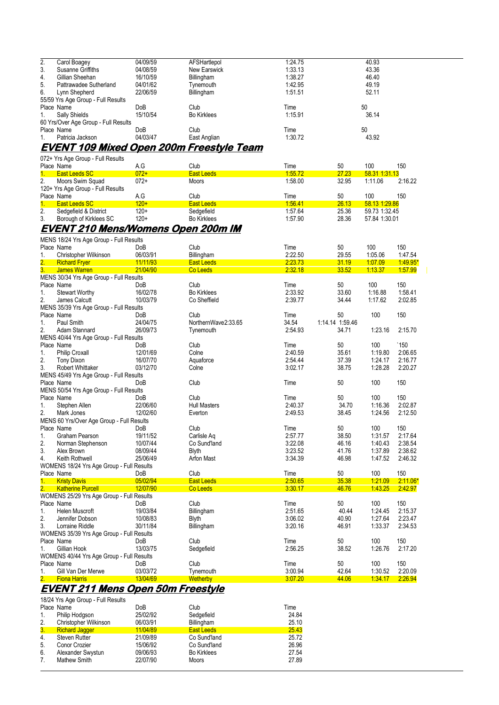| 2. | Carol Boagey                         | 04/09/59   | AFSHartlepol       | 1:24.75 | 40.93 |
|----|--------------------------------------|------------|--------------------|---------|-------|
| 3. | Susanne Griffiths                    | 04/08/59   | New Earswick       | 1:33.13 | 43.36 |
| 4. | Gillian Sheehan                      | 16/10/59   | Billingham         | 1:38.27 | 46.40 |
| 5. | Pattrawadee Sutherland               | 04/01/62   | Tynemouth          | 1:42.95 | 49.19 |
| 6. | Lynn Shepherd                        | 22/06/59   | Billingham         | 1:51.51 | 52.11 |
|    | 55/59 Yrs Age Group - Full Results   |            |                    |         |       |
|    | Place Name                           | <b>DoB</b> | Club               | Time    | 50    |
| 1. | Sally Shields                        | 15/10/54   | <b>Bo Kirklees</b> | 1:15.91 | 36.14 |
|    | 60 Yrs/Over Age Group - Full Results |            |                    |         |       |
|    | Place Name                           | <b>DoB</b> | Club               | Time    | 50    |
|    | Patricia Jackson                     | 04/03/47   | East Anglian       | 1:30.72 | 43.92 |
|    |                                      |            | .                  |         |       |

## **EVENT 109 Mixed Open 200m Freestyle Team**

|    | 072+ Yrs Age Group - Full Results |        |                    |         |       |               |         |
|----|-----------------------------------|--------|--------------------|---------|-------|---------------|---------|
|    | Place Name                        | A.G    | Club               | Time    | 50    | 100           | 150     |
|    | <b>East Leeds SC</b>              | $072+$ | <b>East Leeds</b>  | 1:55.72 | 27.23 | 58.31 1:31.13 |         |
| 2. | Moors Swim Squad                  | $072+$ | <b>Moors</b>       | 1:58.00 | 32.95 | 1:11.06       | 2:16.22 |
|    | 120+ Yrs Age Group - Full Results |        |                    |         |       |               |         |
|    | Place Name                        | A.G    | Club               | Time    | 50    | 100           | 150     |
|    | <b>East Leeds SC</b>              | $120+$ | <b>East Leeds</b>  | 1:56.41 | 26.13 | 58.13 1:29.86 |         |
| 2. | Sedgefield & District             | $120+$ | Sedgefield         | 1.57.64 | 25.36 | 59.73 1:32.45 |         |
| 3. | Borough of Kirklees SC            | $120+$ | <b>Bo Kirklees</b> | 1:57.90 | 28.36 | 57.84 1:30.01 |         |
|    | .<br>------------                 |        | $- - -$<br>---     |         |       |               |         |

# **EVENT 210 Mens/Womens Open 200m IM**

|                  | MENS 18/24 Yrs Age Group - Full Results   |            |                     |         |                 |         |               |
|------------------|-------------------------------------------|------------|---------------------|---------|-----------------|---------|---------------|
|                  | Place Name                                | DoB        | Club                | Time    | 50              | 100     | 150           |
| $\mathbf{1}$ .   | Christopher Wilkinson                     | 06/03/91   | Billingham          | 2:22.50 | 29.55           | 1:05.06 | 1:47.54       |
| 2.               | <b>Richard Fryer</b>                      | 11/11/93   | <b>East Leeds</b>   | 2:23.73 | 31.19           | 1:07.09 | 149.95*       |
| $\overline{3}$ . | <b>James Warren</b>                       | 21/04/90   | Co Leeds            | 2:32.18 | 33.52           | 1.13.37 | 1.57.99       |
|                  | MENS 30/34 Yrs Age Group - Full Results   |            |                     |         |                 |         |               |
|                  | Place Name                                | DoB        | Club                | Time    | 50              | 100     | 150           |
| 1.               | <b>Stewart Worthy</b>                     | 16/02/78   | <b>Bo Kirklees</b>  | 2:33.92 | 33.60           | 1:16.88 | 1:58.41       |
| 2.               | James Calcutt                             | 10/03/79   | Co Sheffield        | 2:39.77 | 34.44           | 1:17.62 | 2:02.85       |
|                  | MENS 35/39 Yrs Age Group - Full Results   |            |                     |         |                 |         |               |
|                  | Place Name                                | DoB        | Club                | Time    | 50              | 100     | 150           |
| 1.               | Paul Smith                                | 24/04/75   | NorthernWave2:33.65 | 34.54   | 1:14.14 1:59.46 |         |               |
| 2.               | Adam Stannard                             | 26/09/73   | Tynemouth           | 2:54.93 | 34.71           | 1:23.16 | 2:15.70       |
|                  | MENS 40/44 Yrs Age Group - Full Results   |            |                     |         |                 |         |               |
|                  | Place Name                                | <b>DoB</b> | Club                | Time    | 50              | 100     | $^{\circ}150$ |
| 1.               | <b>Philip Croxall</b>                     | 12/01/69   | Colne               | 2:40.59 | 35.61           | 1:19.80 | 2:06.65       |
| 2.               | <b>Tony Dixon</b>                         | 16/07/70   | Aquaforce           | 2:54.44 | 37.39           | 1:24.17 | 2:16.77       |
| 3.               | <b>Robert Whittaker</b>                   | 03/12/70   | Colne               | 3:02.17 | 38.75           | 1:28.28 | 2:20.27       |
|                  |                                           |            |                     |         |                 |         |               |
|                  | MENS 45/49 Yrs Age Group - Full Results   |            | Club                |         | 50              | 100     | 150           |
|                  | Place Name                                | DoB        |                     | Time    |                 |         |               |
|                  | MENS 50/54 Yrs Age Group - Full Results   |            |                     |         |                 |         |               |
|                  | Place Name                                | DoB        | Club                | Time    | 50              | 100     | 150           |
| 1.               | Stephen Allen                             | 22/06/60   | <b>Hull Masters</b> | 2:40.37 | 34.70           | 1:16.36 | 2:02.87       |
| 2.               | Mark Jones                                | 12/02/60   | Everton             | 2:49.53 | 38.45           | 1:24.56 | 2:12.50       |
|                  | MENS 60 Yrs/Over Age Group - Full Results |            |                     |         |                 |         |               |
|                  | Place Name                                | <b>DoB</b> | Club                | Time    | 50              | 100     | 150           |
| 1.               | <b>Graham Pearson</b>                     | 19/11/52   | Carlisle Aq         | 2:57.77 | 38.50           | 1:31.57 | 2:17.64       |
| 2.               | Norman Stephenson                         | 10/07/44   | Co Sund'land        | 3:22.08 | 46.16           | 1:40.43 | 2:38.54       |
| 3.               | Alex Brown                                | 08/09/44   | <b>Blyth</b>        | 3:23.52 | 41.76           | 1:37.89 | 2:38.62       |
| 4.               | Keith Rothwell                            | 25/06/49   | Arfon Mast          | 3:34.39 | 46.98           | 1.47.52 | 2:46.32       |
|                  | WOMENS 18/24 Yrs Age Group - Full Results |            |                     |         |                 |         |               |
|                  | Place Name                                | DoB        | Club                | Time    | 50              | 100     | 150           |
| 1.               | <b>Kristy Davis</b>                       | 05/02/94   | <b>East Leeds</b>   | 2:50.65 | 35.38           | 1:21.09 | $2:11.06*$    |
| $\overline{2}$ . | <b>Katherine Purcell</b>                  | 12/07/90   | Co Leeds            | 3:30.17 | 46.76           | 1:43.25 | 2:42.97       |
|                  | WOMENS 25/29 Yrs Age Group - Full Results |            |                     |         |                 |         |               |
|                  | Place Name                                | DoB        | Club                | Time    | 50              | 100     | 150           |
| 1.               | Helen Muscroft                            | 19/03/84   | Billingham          | 2:51.65 | 40.44           | 1:24.45 | 2:15.37       |
| 2.               | Jennifer Dobson                           | 10/08/83   | Blyth               | 3:06.02 | 40.90           | 1:27.64 | 2:23.47       |
| 3.               | Lorraine Riddle                           | 30/11/84   | Billingham          | 3:20.16 | 46.91           | 1:33.37 | 2:34.53       |
|                  | WOMENS 35/39 Yrs Age Group - Full Results |            |                     |         |                 |         |               |
|                  | Place Name                                | DoB        | Club                | Time    | 50              | 100     | 150           |
| 1.               | Gillian Hook                              | 13/03/75   | Sedgefield          | 2:56.25 | 38.52           | 1:26.76 | 2:17.20       |
|                  | WOMENS 40/44 Yrs Age Group - Full Results |            |                     |         |                 |         |               |
|                  | Place Name                                | DoB        | Club                | Time    | 50              | 100     | 150           |
|                  |                                           |            |                     | 3:00.94 | 42.64           | 1:30.52 | 2:20.09       |
| 1.               | Gill Van Der Merwe                        | 03/03/72   | Tynemouth           |         |                 |         |               |
| 2.               | <b>Fiona Harris</b>                       | 13/04/69   | Wetherby            | 3:07.20 | 44.06           | 1.34.17 | 2.26.94       |

### **EVENT 211 Mens Open 50m Freestyle**

|             | 18/24 Yrs Age Group - Full Results |            |                    |       |
|-------------|------------------------------------|------------|--------------------|-------|
|             | Place Name                         | <b>DoB</b> | Club               | Time  |
| 1.          | Philip Hodgson                     | 25/02/92   | Sedgefield         | 24.84 |
| 2.          | Christopher Wilkinson              | 06/03/91   | Billingham         | 25.10 |
| $3_{\cdot}$ | <b>Richard Jagger</b>              | 11/04/89   | <b>East Leeds</b>  | 25.43 |
| 4.          | <b>Steven Rutter</b>               | 21/09/89   | Co Sund'land       | 25.72 |
| 5.          | Conor Crozier                      | 15/06/92   | Co Sund'land       | 26.96 |
| 6.          | Alexander Swystun                  | 09/06/93   | <b>Bo Kirklees</b> | 27.54 |
| 7.          | Mathew Smith                       | 22/07/90   | <b>Moors</b>       | 27.89 |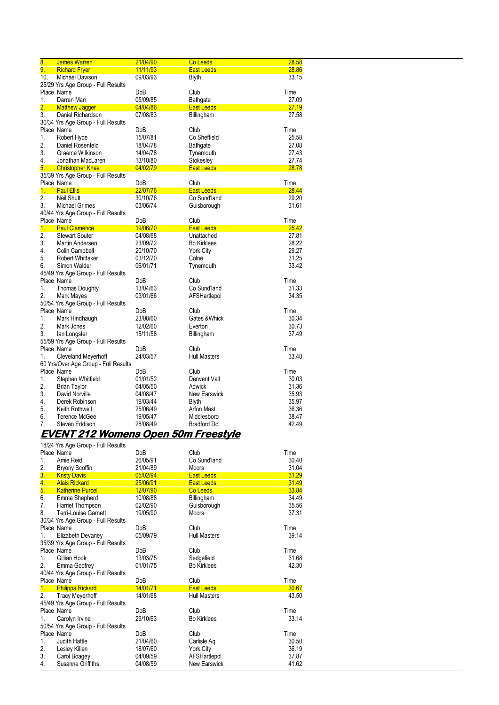| $\overline{\textbf{8}}$ . | <b>James Warren</b>                              | 21/04/90 | Co Leeds            | 28.58          |
|---------------------------|--------------------------------------------------|----------|---------------------|----------------|
| 9.                        | <b>Richard Fryer</b>                             | 11/11/93 | <b>East Leeds</b>   | 28.86          |
| 10.                       | Michael Dawson                                   | 09/03/93 | <b>Blyth</b>        | 33.15          |
|                           | 25/29 Yrs Age Group - Full Results               |          |                     |                |
|                           | Place Name                                       | DoB      | Club                | Time           |
| 1.                        | Darren Marr                                      | 05/09/85 | Bathgate            | 27.09          |
| 2.                        | <b>Matthew Jagger</b>                            | 04/04/86 | <b>East Leeds</b>   | 27.19          |
| 3.                        | Daniel Richardson                                | 07/08/83 | Billingham          | 27.58          |
|                           | 30/34 Yrs Age Group - Full Results               |          |                     |                |
|                           | Place Name                                       | DoB      | Club                | Time           |
| 1.                        | Robert Hyde                                      | 15/07/81 | Co Sheffield        | 25.58          |
| 2.                        | Daniel Rosenfeld                                 | 18/04/78 | Bathgate            | 27.08          |
| 3.                        | Graeme Wilkinson                                 | 14/04/78 | Tynemouth           | 27.43          |
| 4.                        | Jonathan MacLaren                                | 13/10/80 | Stokesley           | 27.74          |
| 5.                        | <b>Christopher Knee</b>                          | 04/02/79 | <b>East Leeds</b>   | 28.78          |
|                           | 35/39 Yrs Age Group - Full Results               |          |                     |                |
|                           | Place Name                                       | DoB      | Club                | Time           |
| 1.                        | <b>Paul Ellis</b>                                | 22/07/76 | <b>East Leeds</b>   | 28.44          |
| $\overline{2}$ .          | Neil Shutt                                       | 30/10/76 | Co Sund'land        | 29.20          |
| 3.                        | <b>Michael Grimes</b>                            | 03/06/74 | Guisborough         | 31.61          |
|                           |                                                  |          |                     |                |
|                           | 40/44 Yrs Age Group - Full Results<br>Place Name |          | Club                | Time           |
| 1.                        | <b>Paul Clemence</b>                             | DoB      |                     | 25.42          |
| 2.                        |                                                  | 19/06/70 | <b>East Leeds</b>   |                |
| 3.                        | <b>Stewart Souter</b>                            | 04/08/68 | Unattached          | 27.81<br>28.22 |
| 4.                        | Martin Andersen                                  | 23/09/72 | <b>Bo Kirklees</b>  | 29.27          |
| 5.                        | Colin Campbell                                   | 20/10/70 | <b>York City</b>    | 31.25          |
|                           | <b>Robert Whittaker</b>                          | 03/12/70 | Colne               | 33.42          |
| 6.                        | Simon Walder                                     | 06/01/71 | Tynemouth           |                |
|                           | 45/49 Yrs Age Group - Full Results               |          |                     |                |
|                           | Place Name                                       | DoB      | Club                | Time           |
| 1.                        | <b>Thomas Doughty</b>                            | 13/04/63 | Co Sund'land        | 31.33          |
| 2.                        | Mark Mayes                                       | 03/01/66 | AFSHartlepol        | 34.35          |
|                           | 50/54 Yrs Age Group - Full Results               |          |                     |                |
|                           | Place Name                                       | DoB      | Club                | Time           |
| 1.                        | Mark Hindhaugh                                   | 23/08/60 | Gates & Whick       | 30.34          |
| 2.                        | Mark Jones                                       | 12/02/60 | Everton             | 30.73          |
| 3.                        | lan Longster                                     | 15/11/58 | Billingham          | 37.49          |
|                           | 55/59 Yrs Age Group - Full Results               |          |                     |                |
|                           | Place Name                                       | DoB      | Club                | Time           |
| 1.                        | Cleveland Meyerhoff                              | 24/03/57 | <b>Hull Masters</b> | 33.48          |
|                           | 60 Yrs/Over Age Group - Full Results             |          |                     |                |
|                           | Place Name                                       | DoB      | Club                | Time           |
| 1.                        | Stephen Whitfield                                | 01/01/52 | Derwent Vall        | 30.03          |
| 2.                        | <b>Brian Taylor</b>                              | 04/05/50 | Adwick              | 31.36          |
| 3.                        | David Norville                                   | 04/08/47 | <b>New Earswick</b> | 35.93          |
| 4.                        | Derek Robinson                                   | 19/03/44 | <b>Blyth</b>        | 35.97          |
| 5.                        | Keith Rothwell                                   | 25/06/49 | Arfon Mast          | 36.36          |
| 6.                        | <b>Terence McGee</b>                             | 19/05/47 | Middlesboro         | 38.47          |
| 7.                        | Steven Eddison                                   | 28/08/49 | <b>Bradford Dol</b> | 42.49          |

### **EVENT 212 Womens Open 50m Freestyle**

|                | 18/24 Yrs Age Group - Full Results |                 |                     |       |
|----------------|------------------------------------|-----------------|---------------------|-------|
|                | Place Name                         | <b>DoB</b>      | Club                | Time  |
| 1.             | Amie Reid                          | 26/05/91        | Co Sund'land        | 30.40 |
| 2.             | <b>Bryony Scoffin</b>              | 21/04/89        | <b>Moors</b>        | 31.04 |
| 3.             | <b>Kristy Davis</b>                | 05/02/94        | <b>East Leeds</b>   | 31.29 |
| 4.             | <b>Alais Rickard</b>               | 25/06/91        | <b>East Leeds</b>   | 31.49 |
| 5.             | <b>Katherine Purcell</b>           | 12/07/90        | Co Leeds            | 33.84 |
| 6.             | Emma Shepherd                      | 10/08/88        | Billingham          | 34.49 |
| 7 <sub>1</sub> | Harriet Thompson                   | 02/02/90        | Guisborough         | 35.56 |
| 8.             | Terri-Louise Garnett               | 19/05/90        | <b>Moors</b>        | 37.31 |
|                | 30/34 Yrs Age Group - Full Results |                 |                     |       |
|                | Place Name                         | <b>DoB</b>      | Club                | Time  |
| 1.             | Elizabeth Devaney                  | 05/09/79        | <b>Hull Masters</b> | 39.14 |
|                | 35/39 Yrs Age Group - Full Results |                 |                     |       |
|                | Place Name                         | <b>DoB</b>      | Club                | Time  |
| 1.             | Gillian Hook                       | 13/03/75        | Sedgefield          | 31.68 |
| 2.             | Emma Godfrey                       | 01/01/75        | <b>Bo Kirklees</b>  | 42.30 |
|                | 40/44 Yrs Age Group - Full Results |                 |                     |       |
|                | Place Name                         | <b>DoB</b>      | Club                | Time  |
| 1.             | <b>Philippa Rickard</b>            | 14/01/71        | <b>East Leeds</b>   | 30.67 |
| 2.             | <b>Tracy Meyerhoff</b>             | 14/01/68        | <b>Hull Masters</b> | 43.50 |
|                | 45/49 Yrs Age Group - Full Results |                 |                     |       |
|                | Place Name                         | Do <sub>B</sub> | Club                | Time  |
| 1.             | Carolyn Irvine                     | 29/10/63        | <b>Bo Kirklees</b>  | 33.14 |
|                | 50/54 Yrs Age Group - Full Results |                 |                     |       |
|                | Place Name                         | <b>DoB</b>      | Club                | Time  |
| 1.             | Judith Hattle                      | 21/04/60        | Carlisle Ag         | 30.50 |
| 2.             | Lesley Killen                      | 18/07/60        | York City           | 36.19 |
| 3.             | Carol Boagey                       | 04/09/59        | AFSHartlepol        | 37.87 |
| 4.             | Susanne Griffiths                  | 04/08/59        | <b>New Earswick</b> | 41.62 |
|                |                                    |                 |                     |       |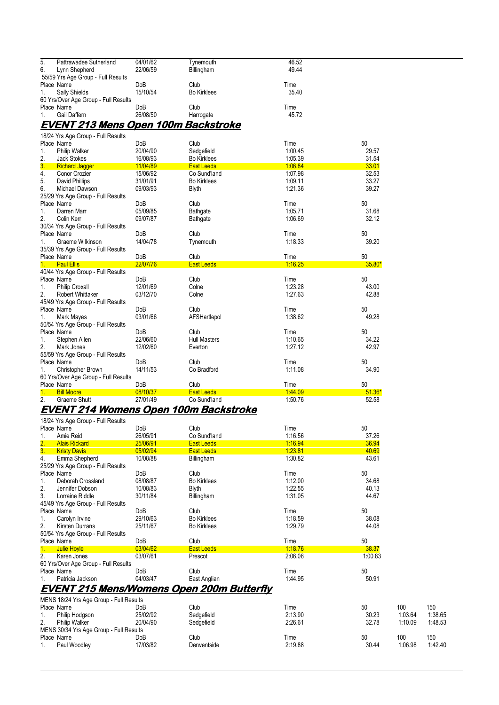| 5.<br>Pattrawadee Sutherland               | 04/01/62 | Tynemouth          | 46.52 |
|--------------------------------------------|----------|--------------------|-------|
| 6.<br>Lynn Shepherd                        | 22/06/59 | Billingham         | 49.44 |
| 55/59 Yrs Age Group - Full Results         |          |                    |       |
| Place Name                                 | DoB      | Club               | Time  |
| Sally Shields<br>1.                        | 15/10/54 | <b>Bo Kirklees</b> | 35.40 |
| 60 Yrs/Over Age Group - Full Results       |          |                    |       |
| Place Name                                 | DoB      | Club               | Time  |
| Gail Daffern<br>$\mathbf{1}$ .             | 26/08/50 | Harrogate          | 45.72 |
| <b>EVENT 213 Mens Open 100m Backstroke</b> |          |                    |       |
|                                            |          |                    |       |

| 18/24 Yrs Age Group - Full Results      |            |                     |         |          |
|-----------------------------------------|------------|---------------------|---------|----------|
| Place Name                              | DoB        | Club                | Time    | 50       |
| 1.<br><b>Philip Walker</b>              | 20/04/90   | Sedgefield          | 1:00.45 | 29.57    |
| 2.<br><b>Jack Stokes</b>                | 16/08/93   | <b>Bo Kirklees</b>  | 1:05.39 | 31.54    |
| 3.<br><b>Richard Jagger</b>             | 11/04/89   | <b>East Leeds</b>   | 1.06.84 | 33.01    |
| 4.<br>Conor Crozier                     | 15/06/92   | Co Sund'land        | 1:07.98 | 32.53    |
| 5.<br>David Phillips                    | 31/01/91   | <b>Bo Kirklees</b>  | 1:09.11 | 33.27    |
| 6.<br>Michael Dawson                    | 09/03/93   | <b>Blyth</b>        | 1.21.36 | 39.27    |
| 25/29 Yrs Age Group - Full Results      |            |                     |         |          |
| Place Name                              | <b>DoB</b> | Club                | Time    | 50       |
| Darren Marr<br>1.                       | 05/09/85   | Bathgate            | 1:05.71 | 31.68    |
| 2.<br>Colin Kerr                        | 09/07/87   | Bathgate            | 1:06.69 | 32.12    |
| 30/34 Yrs Age Group - Full Results      |            |                     |         |          |
| Place Name                              | <b>DoB</b> | Club                | Time    | 50       |
| $1_{-}$<br>Graeme Wilkinson             | 14/04/78   | Tynemouth           | 1:18.33 | 39.20    |
| 35/39 Yrs Age Group - Full Results      |            |                     |         |          |
| Place Name                              | DoB        | Club                | Time    | 50       |
| <b>Paul Ellis</b><br>$1 -$              | 22/07/76   | <b>East Leeds</b>   | 1:16.25 | 35.80*   |
| 40/44 Yrs Age Group - Full Results      |            |                     |         |          |
| Place Name                              | <b>DoB</b> | Club                | Time    | 50       |
| <b>Philip Croxall</b><br>$\mathbf{1}$ . | 12/01/69   | Colne               | 1:23.28 | 43.00    |
| 2.<br><b>Robert Whittaker</b>           | 03/12/70   | Colne               | 1:27.63 | 42.88    |
| 45/49 Yrs Age Group - Full Results      |            |                     |         |          |
| Place Name                              | DoB        | Club                | Time    | 50       |
| $\mathbf{1}$ .<br>Mark Mayes            | 03/01/66   | AFSHartlepol        | 1.38.62 | 49.28    |
| 50/54 Yrs Age Group - Full Results      |            |                     |         |          |
| Place Name                              | <b>DoB</b> | Club                | Time    | 50       |
| $\mathbf{1}$ .<br>Stephen Allen         | 22/06/60   | <b>Hull Masters</b> | 1:10.65 | 34.22    |
| 2.<br>Mark Jones                        | 12/02/60   | Everton             | 1:27.12 | 42.97    |
| 55/59 Yrs Age Group - Full Results      |            |                     |         |          |
| Place Name                              | DoB        | Club                | Time    | 50       |
| Christopher Brown<br>1.                 | 14/11/53   | Co Bradford         | 1:11.08 | 34.90    |
| 60 Yrs/Over Age Group - Full Results    |            |                     |         |          |
| Place Name                              | DoB        | Club                | Time    | 50       |
| 1.<br><b>Bill Moore</b>                 | 08/10/37   | <b>East Leeds</b>   | 1.44.09 | $51.36*$ |
| 2.<br><b>Graeme Shutt</b>               | 27/01/49   | Co Sund'land        | 1:50.76 | 52.58    |
|                                         |            |                     |         |          |

#### **EVENT 214 Womens Open 100m Backstroke**

|  |  |  |  |  |  | 18/24 Yrs Age Group - Full Results |
|--|--|--|--|--|--|------------------------------------|
|--|--|--|--|--|--|------------------------------------|

|    | - <b>.</b><br>Place Name                | DoB        | Club                                             | Time    | 50      |
|----|-----------------------------------------|------------|--------------------------------------------------|---------|---------|
| 1. | Amie Reid                               | 26/05/91   | Co Sund'land                                     | 1:16.56 | 37.26   |
| 2. | <b>Alais Rickard</b>                    | 25/06/91   | <b>East Leeds</b>                                | 1:16.94 | 36.94   |
| 3. | <b>Kristy Davis</b>                     | 05/02/94   | <b>East Leeds</b>                                | 1.23.81 | 40.69   |
| 4. | Emma Shepherd                           | 10/08/88   | Billingham                                       | 1:30.82 | 43.61   |
|    | 25/29 Yrs Age Group - Full Results      |            |                                                  |         |         |
|    | Place Name                              | DoB        | Club                                             | Time    | 50      |
| 1. | Deborah Crossland                       | 08/08/87   | <b>Bo Kirklees</b>                               | 1:12.00 | 34.68   |
| 2. | Jennifer Dobson                         | 10/08/83   | <b>Blyth</b>                                     | 1.22.55 | 40.13   |
| 3. | Lorraine Riddle                         | 30/11/84   | Billingham                                       | 1:31.05 | 44.67   |
|    | 45/49 Yrs Age Group - Full Results      |            |                                                  |         |         |
|    | Place Name                              | DoB        | Club                                             | Time    | 50      |
| 1. | Carolyn Irvine                          | 29/10/63   | <b>Bo Kirklees</b>                               | 1:18.59 | 38.08   |
| 2. | Kirsten Durrans                         | 25/11/67   | <b>Bo Kirklees</b>                               | 1:29.79 | 44.08   |
|    | 50/54 Yrs Age Group - Full Results      |            |                                                  |         |         |
|    | Place Name                              | <b>DoB</b> | Club                                             | Time    | 50      |
| 1. | Julie Hoyle                             | 03/04/62   | <b>East Leeds</b>                                | 1:18.76 | 38.37   |
| 2. | Karen Jones                             | 03/07/61   | Prescot                                          | 2:06.08 | 1.00.83 |
|    | 60 Yrs/Over Age Group - Full Results    |            |                                                  |         |         |
|    | Place Name                              | DoB        | Club                                             | Time    | 50      |
| 1. | Patricia Jackson                        | 04/03/47   | East Anglian                                     | 1:44.95 | 50.91   |
|    |                                         |            | <b>EVENT 215 Mens/Womens Open 200m Butterfly</b> |         |         |
|    | MENS 18/24 Yrs Age Group - Full Results |            |                                                  |         |         |
|    |                                         |            |                                                  |         |         |

|     | Place Name                              | DoB      | Club        | Time    | 50    | 100     | 150     |
|-----|-----------------------------------------|----------|-------------|---------|-------|---------|---------|
| . . | Philip Hodason                          | 25/02/92 | Sedgefield  | 2:13.90 | 30.23 | 1:03.64 | 1:38.65 |
| 2.  | <b>Philip Walker</b>                    | 20/04/90 | Sedaefield  | 2:26.61 | 32.78 | 1:10.09 | 1:48.53 |
|     | MENS 30/34 Yrs Age Group - Full Results |          |             |         |       |         |         |
|     | Place Name                              | DoB      | Club        | Time    | 50    | 100     | 150     |
|     | Paul Woodlev                            | 17/03/82 | Derwentside | 2:19.88 | 30.44 | 1:06.98 | 1:42.40 |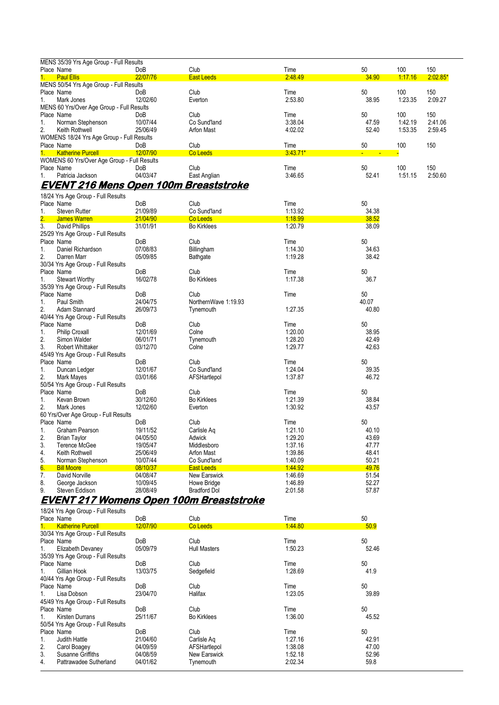|                | MENS 35/39 Yrs Age Group - Full Results     |          |                   |            |                |         |            |  |  |
|----------------|---------------------------------------------|----------|-------------------|------------|----------------|---------|------------|--|--|
| Place Name     |                                             | DoB      | Club              | Time       | 50             | 100     | 150        |  |  |
| $1 -$          | <b>Paul Ellis</b>                           | 22/07/76 | <b>East Leeds</b> | 2.48.49    | 34.90          | 1.17.16 | $2:02.85*$ |  |  |
|                | MENS 50/54 Yrs Age Group - Full Results     |          |                   |            |                |         |            |  |  |
| Place Name     |                                             | DoB      | Club              | Time       | 50             | 100     | 150        |  |  |
| 1.             | Mark Jones                                  | 12/02/60 | Everton           | 2:53.80    | 38.95          | 1:23.35 | 2:09.27    |  |  |
|                | MENS 60 Yrs/Over Age Group - Full Results   |          |                   |            |                |         |            |  |  |
| Place Name     |                                             | DoB      | Club              | Time       | 50             | 100     | 150        |  |  |
| 1.             | Norman Stephenson                           | 10/07/44 | Co Sund'land      | 3:38.04    | 47.59          | 1:42.19 | 2.41.06    |  |  |
| 2 <sup>1</sup> | Keith Rothwell                              | 25/06/49 | <b>Arfon Mast</b> | 4:02.02    | 52.40          | 1:53.35 | 2:59.45    |  |  |
|                | WOMENS 18/24 Yrs Age Group - Full Results   |          |                   |            |                |         |            |  |  |
| Place Name     |                                             | DoB      | Club              | Time       | 50             | 100     | 150        |  |  |
| $1 -$          | <b>Katherine Purcell</b>                    | 12/07/90 | Co Leeds          | $3:43.71*$ | $\blacksquare$ |         |            |  |  |
|                | WOMENS 60 Yrs/Over Age Group - Full Results |          |                   |            |                |         |            |  |  |
| Place Name     |                                             | DoB      | Club              | Time       | 50             | 100     | 150        |  |  |
|                | Patricia Jackson                            | 04/03/47 | East Anglian      | 3:46.65    | 52.41          | 1:51.15 | 2:50.60    |  |  |

### **EVENT 216 Mens Open 100m Breaststroke**

|                  | 18/24 Yrs Age Group - Full Results   |            |                      |         |       |
|------------------|--------------------------------------|------------|----------------------|---------|-------|
|                  | Place Name                           | <b>DoB</b> | Club                 | Time    | 50    |
| $\mathbf{1}$ .   | <b>Steven Rutter</b>                 | 21/09/89   | Co Sund'land         | 1:13.92 | 34.38 |
| $\overline{2}$ . | <b>James Warren</b>                  | 21/04/90   | Co Leeds             | 1:18.99 | 38.52 |
| 3.               | David Phillips                       | 31/01/91   | <b>Bo Kirklees</b>   | 1:20.79 | 38.09 |
|                  | 25/29 Yrs Age Group - Full Results   |            |                      |         |       |
|                  | Place Name                           | DoB        | Club                 | Time    | 50    |
| 1.               | Daniel Richardson                    | 07/08/83   | Billingham           | 1:14.30 | 34.63 |
| 2.               | Darren Marr                          | 05/09/85   | Bathgate             | 1:19.28 | 38.42 |
|                  | 30/34 Yrs Age Group - Full Results   |            |                      |         |       |
|                  | Place Name                           | <b>DoB</b> | Club                 | Time    | 50    |
| 1.               | <b>Stewart Worthy</b>                | 16/02/78   | <b>Bo Kirklees</b>   | 1:17.38 | 36.7  |
|                  | 35/39 Yrs Age Group - Full Results   |            |                      |         |       |
|                  | Place Name                           | DoB        | Club                 | Time    | 50    |
| $\mathbf{1}$ .   | Paul Smith                           | 24/04/75   | NorthernWave 1:19.93 |         | 40.07 |
| 2.               | Adam Stannard                        | 26/09/73   | Tynemouth            | 1:27.35 | 40.80 |
|                  | 40/44 Yrs Age Group - Full Results   |            |                      |         |       |
|                  | Place Name                           | DoB        | Club                 | Time    | 50    |
| $\mathbf{1}$ .   | <b>Philip Croxall</b>                | 12/01/69   | Colne                | 1.20.00 | 38.95 |
| 2.               | Simon Walder                         | 06/01/71   | Tynemouth            | 1:28.20 | 42.49 |
| 3.               | <b>Robert Whittaker</b>              | 03/12/70   | Colne                | 1:29.77 | 42.63 |
|                  | 45/49 Yrs Age Group - Full Results   |            |                      |         |       |
|                  | Place Name                           | DoB        | Club                 | Time    | 50    |
| 1.               | Duncan Ledger                        | 12/01/67   | Co Sund'land         | 1.24.04 | 39.35 |
| 2.               | Mark Mayes                           | 03/01/66   | AFSHartlepol         | 1:37.87 | 46.72 |
|                  | 50/54 Yrs Age Group - Full Results   |            |                      |         |       |
|                  | Place Name                           | DoB        | Club                 | Time    | 50    |
| $\mathbf{1}$ .   | Kevan Brown                          | 30/12/60   | <b>Bo Kirklees</b>   | 1:21.39 | 38.84 |
| 2.               | Mark Jones                           | 12/02/60   | Everton              | 1:30.92 | 43.57 |
|                  | 60 Yrs/Over Age Group - Full Results |            |                      |         |       |
|                  | Place Name                           | DoB        | Club                 | Time    | 50    |
| 1.               | <b>Graham Pearson</b>                | 19/11/52   | Carlisle Aq          | 1:21.10 | 40.10 |
| 2.               | <b>Brian Taylor</b>                  | 04/05/50   | Adwick               | 1:29.20 | 43.69 |
| 3.               | Terence McGee                        | 19/05/47   | Middlesboro          | 1:37.16 | 47.77 |
| 4.               | Keith Rothwell                       | 25/06/49   | Arfon Mast           | 1:39.86 | 48.41 |
| 5.               | Norman Stephenson                    | 10/07/44   | Co Sund'land         | 1:40.09 | 50.21 |
| 6.               | <b>Bill Moore</b>                    | 08/10/37   | <b>East Leeds</b>    | 144.92  | 49.76 |
| 7.               | David Norville                       | 04/08/47   | New Earswick         | 1.46.69 | 51.54 |
| 8.               | George Jackson                       | 10/09/45   | Howe Bridge          | 1:46.89 | 52.27 |
| 9.               | Steven Eddison                       | 28/08/49   | <b>Bradford Dol</b>  | 2:01.58 | 57.87 |

### **EVENT 217 Womens Open 100m Breaststroke**

|            | 18/24 Yrs Age Group - Full Results |                 |                     |         |       |
|------------|------------------------------------|-----------------|---------------------|---------|-------|
| Place Name |                                    | DoB             | Club                | Time    | 50    |
| $1_{-}$    | <b>Katherine Purcell</b>           | 12/07/90        | Co Leeds            | 1.44.80 | 50.9  |
|            | 30/34 Yrs Age Group - Full Results |                 |                     |         |       |
| Place Name |                                    | Do <sub>B</sub> | Club                | Time    | 50    |
| 1.         | Elizabeth Devaney                  | 05/09/79        | <b>Hull Masters</b> | 1:50.23 | 52.46 |
|            | 35/39 Yrs Age Group - Full Results |                 |                     |         |       |
| Place Name |                                    | Do <sub>B</sub> | Club                | Time    | 50    |
| 1.         | Gillian Hook                       | 13/03/75        | Sedgefield          | 1:28.69 | 41.9  |
|            | 40/44 Yrs Age Group - Full Results |                 |                     |         |       |
| Place Name |                                    | <b>DoB</b>      | Club                | Time    | 50    |
| 1.         | Lisa Dobson                        | 23/04/70        | Halifax             | 1:23.05 | 39.89 |
|            | 45/49 Yrs Age Group - Full Results |                 |                     |         |       |
| Place Name |                                    | Do <sub>B</sub> | Club                | Time    | 50    |
| $1_{-}$    | Kirsten Durrans                    | 25/11/67        | <b>Bo Kirklees</b>  | 1:36.00 | 45.52 |
|            | 50/54 Yrs Age Group - Full Results |                 |                     |         |       |
| Place Name |                                    | <b>DoB</b>      | Club                | Time    | 50    |
| 1.         | Judith Hattle                      | 21/04/60        | Carlisle Ag         | 1.27.16 | 42.91 |
| 2.         | Carol Boagey                       | 04/09/59        | AFSHartlepol        | 1:38.08 | 47.00 |
| 3.         | Susanne Griffiths                  | 04/08/59        | <b>New Earswick</b> | 1:52.18 | 52.96 |
| 4.         | Pattrawadee Sutherland             | 04/01/62        | Tynemouth           | 2:02.34 | 59.8  |
|            |                                    |                 |                     |         |       |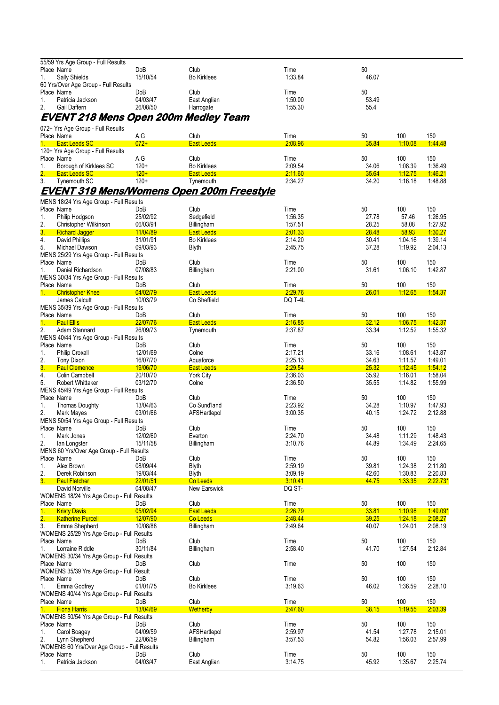|                  | 55/59 Yrs Age Group - Full Results                           |                      |                                                  |                    |                |                           |                    |
|------------------|--------------------------------------------------------------|----------------------|--------------------------------------------------|--------------------|----------------|---------------------------|--------------------|
| 1.               | Place Name<br>Sally Shields                                  | DoB<br>15/10/54      | Club<br><b>Bo Kirklees</b>                       | Time<br>1:33.84    | 50<br>46.07    |                           |                    |
|                  | 60 Yrs/Over Age Group - Full Results                         |                      |                                                  |                    |                |                           |                    |
|                  | Place Name                                                   | DoB                  | Club                                             | Time               | 50             |                           |                    |
| 1.               | Patricia Jackson                                             | 04/03/47             | East Anglian                                     | 1:50.00            | 53.49          |                           |                    |
| 2.               | Gail Daffern                                                 | 26/08/50             | Harrogate                                        | 1:55.30            | 55.4           |                           |                    |
|                  | <u>EVENT 218 Mens Open 200m Medley Team</u>                  |                      |                                                  |                    |                |                           |                    |
|                  | 072+ Yrs Age Group - Full Results                            |                      |                                                  |                    |                |                           |                    |
|                  | Place Name                                                   | A.G                  | Club                                             | Time               | 50             | 100                       | 150                |
| 1.               | <b>East Leeds SC</b>                                         | $072+$               | <b>East Leeds</b>                                | 2:08.96            | 35.84          | 1:10.08                   | 1.44.48            |
|                  | 120+ Yrs Age Group - Full Results<br>Place Name              | A.G                  | Club                                             | Time               | 50             | 100                       | 150                |
| 1.               | Borough of Kirklees SC                                       | $120+$               | <b>Bo Kirklees</b>                               | 2:09.54            | 34.06          | 1:08.39                   | 1.36.49            |
| 2.               | East Leeds SC                                                | $120+$               | <b>East Leeds</b>                                | 2:11.60            | 35.64          | 1:12.75                   | 1:46.21            |
| 3.               | Tynemouth SC                                                 | $120+$               | Tynemouth                                        | 2:34.27            | 34.20          | 1:16.18                   | 1:48.88            |
|                  |                                                              |                      | <u>EVENT 319 Mens/Womens Open 200m Freestyle</u> |                    |                |                           |                    |
|                  | MENS 18/24 Yrs Age Group - Full Results                      |                      |                                                  |                    |                |                           |                    |
|                  | Place Name                                                   | DoB                  | Club                                             | Time               | 50             | 100                       | 150                |
| 1.               | Philip Hodgson                                               | 25/02/92             | Sedgefield                                       | 1:56.35            | 27.78          | 57.46                     | 1:26.95            |
| 2.<br>3.         | Christopher Wilkinson<br><b>Richard Jagger</b>               | 06/03/91<br>11/04/89 | Billingham<br><b>East Leeds</b>                  | 1.57.51<br>2:01.33 | 28.25<br>28.48 | 58.08<br>58.93            | 1.27.92<br>1:30.27 |
| 4.               | David Phillips                                               | 31/01/91             | <b>Bo Kirklees</b>                               | 2:14.20            | 30.41          | 1.04.16                   | 1:39.14            |
| 5.               | Michael Dawson                                               | 09/03/93             | <b>Blyth</b>                                     | 2:45.75            | 37.28          | 1:19.92                   | 2:04.13            |
|                  | MENS 25/29 Yrs Age Group - Full Results                      |                      |                                                  |                    |                |                           |                    |
| Place Name       |                                                              | DoB                  | Club                                             | Time               | 50             | 100                       | 150                |
| 1.               | Daniel Richardson                                            | 07/08/83             | Billingham                                       | 2:21.00            | 31.61          | 1:06.10                   | 1:42.87            |
|                  | MENS 30/34 Yrs Age Group - Full Results<br>Place Name        | DoB                  | Club                                             | Time               | 50             | 100                       | 150                |
| 1.               | <b>Christopher Knee</b>                                      | 04/02/79             | <b>East Leeds</b>                                | 2:29.76            | 26.01          | 1:12.65                   | 1.54.37            |
|                  | James Calcutt                                                | 10/03/79             | Co Sheffield                                     | DQ T-4L            |                |                           |                    |
|                  | MENS 35/39 Yrs Age Group - Full Results                      |                      |                                                  |                    |                |                           |                    |
| 1.               | Place Name<br><b>Paul Ellis</b>                              | DoB<br>22/07/76      | Club<br><b>East Leeds</b>                        | Time<br>2:16.85    | 50<br>32.12    | 100<br>1.06.75            | 150<br>1:42.37     |
| 2.               | Adam Stannard                                                | 26/09/73             | Tynemouth                                        | 2:37.87            | 33.34          | 1:12.52                   | 1:55.32            |
|                  | MENS 40/44 Yrs Age Group - Full Results                      |                      |                                                  |                    |                |                           |                    |
|                  | Place Name                                                   | DoB                  | Club                                             | Time               | 50             | 100                       | 150                |
| 1.               | <b>Philip Croxall</b>                                        | 12/01/69             | Colne                                            | 2:17.21            | 33.16          | 1:08.61                   | 1:43.87            |
| 2.<br>3.         | <b>Tony Dixon</b><br><b>Paul Clemence</b>                    | 16/07/70<br>19/06/70 | Aquaforce<br>East Leeds                          | 2:25.13<br>2:29.54 | 34.63<br>25.32 | 1:11.57<br><u>1:12.45</u> | 1:49.01<br>1:54.12 |
| 4.               | Colin Campbell                                               | 20/10/70             | York City                                        | 2:36.03            | 35.92          | 1:16.01                   | 1.58.04            |
| 5.               | <b>Robert Whittaker</b>                                      | 03/12/70             | Colne                                            | 2:36.50            | 35.55          | 1.14.82                   | 1:55.99            |
|                  | MENS 45/49 Yrs Age Group - Full Results                      |                      |                                                  |                    |                |                           |                    |
|                  | Place Name                                                   | DoB                  | Club                                             | Time               | 50             | 100                       | 150                |
| 1.<br>2.         | <b>Thomas Doughty</b>                                        | 13/04/63<br>03/01/66 | Co Sund'land                                     | 2:23.92<br>3:00.35 | 34.28<br>40.15 | 1:10.97<br>1.24.72        | 1.47.93<br>2:12.88 |
|                  | Mark Mayes<br>MENS 50/54 Yrs Age Group - Full Results        |                      | AFSHartlepol                                     |                    |                |                           |                    |
|                  | Place Name                                                   | DoB                  | Club                                             | Time               | 50             | 100                       | 150                |
| 1.               | Mark Jones                                                   | 12/02/60             | Everton                                          | 2:24.70            | 34.48          | 1:11.29                   | 1:48.43            |
| 2.               | lan Longster                                                 | 15/11/58             | Billingham                                       | 3:10.76            | 44.89          | 1:34.49                   | 2:24.65            |
|                  | MENS 60 Yrs/Over Age Group - Full Results<br>Place Name      | DoB                  | Club                                             | Time               | 50             | 100                       | 150                |
| 1.               | Alex Brown                                                   | 08/09/44             | <b>Blyth</b>                                     | 2:59.19            | 39.81          | 1.24.38                   | 2:11.80            |
| 2.               | Derek Robinson                                               | 19/03/44             | Blyth                                            | 3:09.19            | 42.60          | 1:30.83                   | 2:20.83            |
| 3.               | <b>Paul Fletcher</b>                                         | 22/01/51             | Co Leeds                                         | 3.10.41            | 44.75          | 1.33.35                   | $2.22.73*$         |
|                  | David Norville                                               | 04/08/47             | New Earswick                                     | DQ ST-             |                |                           |                    |
|                  | WOMENS 18/24 Yrs Age Group - Full Results<br>Place Name      | DoB                  | Club                                             | Time               | 50             | 100                       | 150                |
| 1.               | <b>Kristy Davis</b>                                          | 05/02/94             | <b>East Leeds</b>                                | 2:26.79            | 33.81          | 1:10.98                   | $1.49.09*$         |
| $\overline{2}$ . | <b>Katherine Purcell</b>                                     | 12/07/90             | Co Leeds                                         | 2.48.44            | 39.25          | 1:24.18                   | 2:08.27            |
| 3.               | Emma Shepherd                                                | 10/08/88             | Billingham                                       | 2:49.64            | 40.07          | 1.24.01                   | 2:08.19            |
|                  | WOMENS 25/29 Yrs Age Group - Full Results                    |                      |                                                  |                    |                |                           |                    |
| 1.               | Place Name<br>Lorraine Riddle                                | DoB<br>30/11/84      | Club<br>Billingham                               | Time<br>2:58.40    | 50<br>41.70    | 100<br>1.27.54            | 150<br>2:12.84     |
|                  | WOMENS 30/34 Yrs Age Group - Full Results                    |                      |                                                  |                    |                |                           |                    |
|                  | Place Name                                                   | DoB                  | Club                                             | Time               | 50             | 100                       | 150                |
|                  | WOMENS 35/39 Yrs Age Group - Full Result                     |                      |                                                  |                    |                |                           |                    |
|                  | Place Name                                                   | DoB                  | Club                                             | Time               | 50             | 100                       | 150                |
| 1.               | Emma Godfrey                                                 | 01/01/75             | <b>Bo Kirklees</b>                               | 3:19.63            | 46.02          | 1:36.59                   | 2:28.10            |
|                  | WOMENS 40/44 Yrs Age Group - Full Results<br>Place Name      | DoB                  | Club                                             | Time               | 50             | 100                       | 150                |
| 1.               | <b>Fiona Harris</b>                                          | 13/04/69             | <b>Wetherby</b>                                  | 2.47.60            | 38.15          | 1.19.55                   | 2.03.39            |
|                  | WOMENS 50/54 Yrs Age Group - Full Results                    |                      |                                                  |                    |                |                           |                    |
|                  | Place Name                                                   | DoB                  | Club                                             | Time               | 50             | 100                       | 150                |
| 1.               | Carol Boagey                                                 | 04/09/59             | AFSHartlepol                                     | 2:59.97            | 41.54          | 1.27.78                   | 2:15.01            |
| 2.               | Lynn Shepherd<br>WOMENS 60 Yrs/Over Age Group - Full Results | 22/06/59             | Billingham                                       | 3.57.53            | 54.82          | 1:56.03                   | 2:57.99            |
|                  | Place Name                                                   | DoB                  | Club                                             | Time               | 50             | 100                       | 150                |
| 1.               | Patricia Jackson                                             | 04/03/47             | East Anglian                                     | 3:14.75            | 45.92          | 1.35.67                   | 2:25.74            |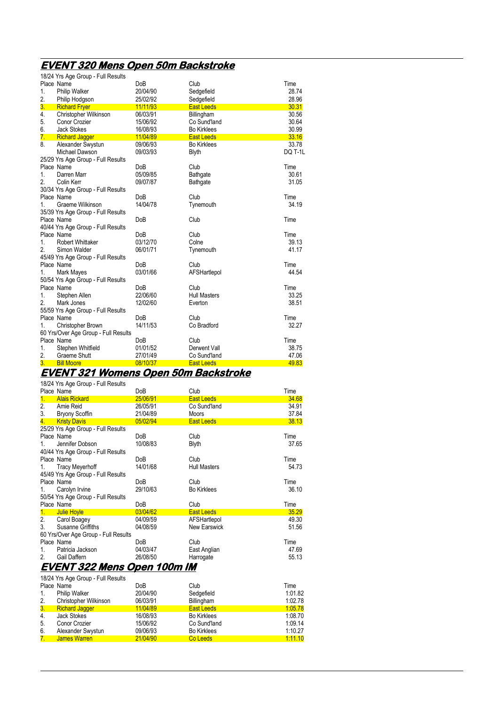## **EVENT 320 Mens Open 50m Backstroke**

|                  | 18/24 Yrs Age Group - Full Results   |            |                     |                |
|------------------|--------------------------------------|------------|---------------------|----------------|
|                  | Place Name                           | DoB        | Club                | Time           |
| 1.               | <b>Philip Walker</b>                 | 20/04/90   | Sedgefield          | 28.74          |
| 2.               | Philip Hodgson                       | 25/02/92   | Sedgefield          | 28.96          |
| 3.               | <b>Richard Fryer</b>                 | 11/11/93   | <b>East Leeds</b>   | 30.31          |
| 4.               | Christopher Wilkinson                | 06/03/91   | Billingham          | 30.56          |
| 5.               | Conor Crozier                        | 15/06/92   | Co Sund'land        | 30.64          |
| 6.               | <b>Jack Stokes</b>                   | 16/08/93   | <b>Bo Kirklees</b>  | 30.99          |
| 7.               | <b>Richard Jagger</b>                | 11/04/89   | <b>East Leeds</b>   | 33.16          |
| 8.               | Alexander Swystun                    | 09/06/93   | <b>Bo Kirklees</b>  | 33.78          |
|                  | Michael Dawson                       | 09/03/93   | <b>Blyth</b>        | <b>DQ T-1L</b> |
|                  | 25/29 Yrs Age Group - Full Results   |            |                     |                |
|                  | Place Name                           | DoB        | Club                | Time           |
| 1.               | Darren Marr                          | 05/09/85   | Bathgate            | 30.61          |
| 2.               | Colin Kerr                           | 09/07/87   | Bathgate            | 31.05          |
|                  | 30/34 Yrs Age Group - Full Results   |            |                     |                |
|                  | Place Name                           | <b>DoB</b> | Club                | Time           |
| $1_{-}$          | Graeme Wilkinson                     | 14/04/78   | Tynemouth           | 34.19          |
|                  | 35/39 Yrs Age Group - Full Results   |            |                     |                |
|                  | Place Name                           | <b>DoB</b> | Club                | Time           |
|                  | 40/44 Yrs Age Group - Full Results   |            |                     |                |
|                  | Place Name                           | DoB        | Club                | Time           |
| 1.               | <b>Robert Whittaker</b>              | 03/12/70   | Colne               | 39.13          |
| 2.               | Simon Walder                         | 06/01/71   | Tynemouth           | 41.17          |
|                  | 45/49 Yrs Age Group - Full Results   |            |                     |                |
|                  | Place Name                           | <b>DoB</b> | Club                | Time           |
| 1.               | Mark Mayes                           | 03/01/66   | AFSHartlepol        | 44.54          |
|                  | 50/54 Yrs Age Group - Full Results   |            |                     |                |
|                  | Place Name                           | <b>DoB</b> | Club                | Time           |
| 1.               | Stephen Allen                        | 22/06/60   | <b>Hull Masters</b> | 33.25          |
| 2.               | Mark Jones                           | 12/02/60   | Everton             | 38.51          |
|                  | 55/59 Yrs Age Group - Full Results   |            |                     |                |
|                  | Place Name                           | DoB        | Club                | Time           |
| 1.               | Christopher Brown                    | 14/11/53   | Co Bradford         | 32.27          |
|                  | 60 Yrs/Over Age Group - Full Results |            |                     |                |
|                  | Place Name                           | DoB        | Club                | Time           |
| 1.               | Stephen Whitfield                    | 01/01/52   | Derwent Vall        | 38.75          |
| 2.               | <b>Graeme Shutt</b>                  | 27/01/49   | Co Sund'land        | 47.06          |
| $\overline{3}$ . | <b>Bill Moore</b>                    | 08/10/37   | <b>East Leeds</b>   | 49.83          |

#### **EVENT 321 Womens Open 50m Backstroke**  18/24 Yrs Age Group - Full Results

|         | TOIL TION NOU OTOUP THAT NOUGHLOT<br>Place Name | DoB        | Club                | Time  |
|---------|-------------------------------------------------|------------|---------------------|-------|
| 1.      | <b>Alais Rickard</b>                            | 25/06/91   | <b>East Leeds</b>   | 34.68 |
| 2.      | Amie Reid                                       | 26/05/91   | Co Sund'land        | 34.91 |
| 3.      | <b>Bryony Scoffin</b>                           | 21/04/89   | <b>Moors</b>        | 37.84 |
| 4.      | <b>Kristy Davis</b>                             | 05/02/94   | <b>East Leeds</b>   | 38.13 |
|         | 25/29 Yrs Age Group - Full Results              |            |                     |       |
|         | Place Name                                      | DoB        | Club                | Time  |
| $1_{-}$ | Jennifer Dobson                                 | 10/08/83   | <b>Blyth</b>        | 37.65 |
|         | 40/44 Yrs Age Group - Full Results              |            |                     |       |
|         | Place Name                                      | DoB        | Club                | Time  |
| 1.      | <b>Tracy Meyerhoff</b>                          | 14/01/68   | <b>Hull Masters</b> | 54.73 |
|         | 45/49 Yrs Age Group - Full Results              |            |                     |       |
|         | Place Name                                      | DoB        | Club                | Time  |
| 1.      | Carolyn Irvine                                  | 29/10/63   | <b>Bo Kirklees</b>  | 36.10 |
|         | 50/54 Yrs Age Group - Full Results              |            |                     |       |
|         | Place Name                                      | <b>DoB</b> | Club                | Time  |
| 1.      | Julie Hoyle                                     | 03/04/62   | <b>East Leeds</b>   | 35.29 |
| 2.      | Carol Boagey                                    | 04/09/59   | AFSHartlepol        | 49.30 |
| 3.      | Susanne Griffiths                               | 04/08/59   | <b>New Earswick</b> | 51.56 |
|         | 60 Yrs/Over Age Group - Full Results            |            |                     |       |
|         | Place Name                                      | DoB        | Club                | Time  |
| 1.      | Patricia Jackson                                | 04/03/47   | East Anglian        | 47.69 |
| 2.      | Gail Daffern                                    | 26/08/50   | Harrogate           | 55.13 |
|         | F[IF]                                           | IMA.       | ,,,                 |       |

#### **EVENT 322 Mens Open 100m IM**  18/24 Yrs Age Group - Full Results

|                | TOIZ4 TTS Age OTOUP - FUILINESUITS |          |                    |         |
|----------------|------------------------------------|----------|--------------------|---------|
|                | Place Name                         | DoB      | Club               | Time    |
| 1.             | <b>Philip Walker</b>               | 20/04/90 | Sedgefield         | 1:01.82 |
| 2.             | Christopher Wilkinson              | 06/03/91 | Billingham         | 1.02.78 |
| 3 <sub>1</sub> | <b>Richard Jagger</b>              | 11/04/89 | <b>East Leeds</b>  | 1:05.78 |
| 4.             | Jack Stokes                        | 16/08/93 | <b>Bo Kirklees</b> | 1.08.70 |
| 5.             | Conor Crozier                      | 15/06/92 | Co Sund'land       | 1.09.14 |
| 6.             | Alexander Swystun                  | 09/06/93 | <b>Bo Kirklees</b> | 1:10.27 |
| 7.             | James Warren                       | 21/04/90 | Co Leeds           | 1:11.10 |
|                |                                    |          |                    |         |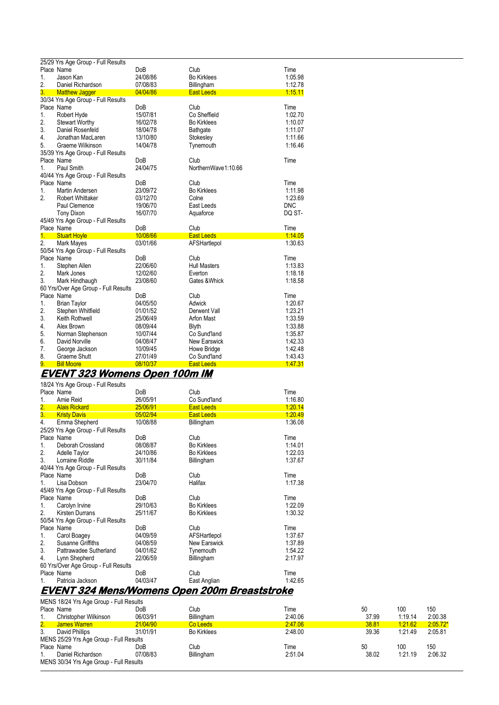|    | 25/29 Yrs Age Group - Full Results   |            |                     |            |  |  |  |
|----|--------------------------------------|------------|---------------------|------------|--|--|--|
|    | Place Name                           | <b>DoB</b> | Club                | Time       |  |  |  |
| 1. | Jason Kan                            | 24/08/86   | <b>Bo Kirklees</b>  | 1:05.98    |  |  |  |
| 2. | Daniel Richardson                    | 07/08/83   | Billingham          | 1:12.78    |  |  |  |
| 3. | <b>Matthew Jagger</b>                | 04/04/86   | <b>East Leeds</b>   | 1.15.11    |  |  |  |
|    | 30/34 Yrs Age Group - Full Results   |            |                     |            |  |  |  |
|    | Place Name                           | DoB        | Club                | Time       |  |  |  |
| 1. | Robert Hyde                          | 15/07/81   | Co Sheffield        | 1:02.70    |  |  |  |
| 2. | <b>Stewart Worthy</b>                | 16/02/78   | <b>Bo Kirklees</b>  | 1:10.07    |  |  |  |
| 3. | Daniel Rosenfeld                     | 18/04/78   | <b>Bathgate</b>     | 1:11.07    |  |  |  |
| 4. | Jonathan MacLaren                    | 13/10/80   | Stokesley           | 1:11.66    |  |  |  |
| 5. | Graeme Wilkinson                     | 14/04/78   | Tynemouth           | 1:16.46    |  |  |  |
|    | 35/39 Yrs Age Group - Full Results   |            |                     |            |  |  |  |
|    | Place Name                           | DoB        | Club                | Time       |  |  |  |
| 1. | Paul Smith                           | 24/04/75   | NorthernWave1:10.66 |            |  |  |  |
|    | 40/44 Yrs Age Group - Full Results   |            |                     |            |  |  |  |
|    | Place Name                           | <b>DoB</b> | Club                | Time       |  |  |  |
| 1. | Martin Andersen                      | 23/09/72   | <b>Bo Kirklees</b>  | 1:11.98    |  |  |  |
| 2. | <b>Robert Whittaker</b>              | 03/12/70   | Colne               | 1.23.69    |  |  |  |
|    | Paul Clemence                        | 19/06/70   | East Leeds          | <b>DNC</b> |  |  |  |
|    | <b>Tony Dixon</b>                    | 16/07/70   | Aquaforce           | DQ ST-     |  |  |  |
|    | 45/49 Yrs Age Group - Full Results   |            |                     |            |  |  |  |
|    | Place Name                           | <b>DoB</b> | Club                | Time       |  |  |  |
| 1. | <b>Stuart Hoyle</b>                  | 10/08/66   | <b>East Leeds</b>   | 1:14.05    |  |  |  |
| 2. | Mark Mayes                           | 03/01/66   | AFSHartlepol        | 1:30.63    |  |  |  |
|    | 50/54 Yrs Age Group - Full Results   |            |                     |            |  |  |  |
|    | Place Name                           | <b>DoB</b> | Club                | Time       |  |  |  |
| 1. | Stephen Allen                        | 22/06/60   | <b>Hull Masters</b> | 1:13.83    |  |  |  |
| 2. | Mark Jones                           | 12/02/60   | Everton             | 1:18.18    |  |  |  |
| 3. | Mark Hindhaugh                       | 23/08/60   | Gates &Whick        | 1:18.58    |  |  |  |
|    | 60 Yrs/Over Age Group - Full Results |            |                     |            |  |  |  |
|    | Place Name                           | <b>DoB</b> | Club                | Time       |  |  |  |
| 1. | <b>Brian Taylor</b>                  | 04/05/50   | Adwick              | 1:20.67    |  |  |  |
| 2. | Stephen Whitfield                    | 01/01/52   | Derwent Vall        | 1:23.21    |  |  |  |
| 3. | Keith Rothwell                       | 25/06/49   | Arfon Mast          | 1:33.59    |  |  |  |
| 4. | Alex Brown                           | 08/09/44   | <b>Blyth</b>        | 1:33.88    |  |  |  |
| 5. | Norman Stephenson                    | 10/07/44   | Co Sund'land        | 1:35.87    |  |  |  |
| 6. | David Norville                       | 04/08/47   | <b>New Earswick</b> | 1:42.33    |  |  |  |
| 7. | George Jackson                       | 10/09/45   | Howe Bridge         | 1:42.48    |  |  |  |
| 8. | Graeme Shutt                         | 27/01/49   | Co Sund'land        | 1:43.43    |  |  |  |
| 9. | <b>Bill Moore</b>                    | 08/10/37   | <b>East Leeds</b>   | 147.31     |  |  |  |
|    | <u>EVENT 323 Womens Open 100m IM</u> |            |                     |            |  |  |  |

|                  | 18/24 Yrs Age Group - Full Results   |                  |                                                     |         |
|------------------|--------------------------------------|------------------|-----------------------------------------------------|---------|
|                  | Place Name                           | Do <sub>B</sub>  | Club                                                | Time    |
| 1.               | Amie Reid                            | 26/05/91         | Co Sund'land                                        | 1:16.80 |
| $\overline{2}$ . | <b>Alais Rickard</b>                 | 25/06/91         | <b>East Leeds</b>                                   | 1:20.14 |
| 3.               | <b>Kristy Davis</b>                  | 05/02/94         | <b>East Leeds</b>                                   | 1.20.49 |
| 4.               | Emma Shepherd                        | 10/08/88         | Billingham                                          | 1:36.08 |
|                  | 25/29 Yrs Age Group - Full Results   |                  |                                                     |         |
|                  | Place Name                           | Do <sub>B</sub>  | Club                                                | Time    |
| 1.               | Deborah Crossland                    | 08/08/87         | <b>Bo Kirklees</b>                                  | 1:14.01 |
| 2.               | Adelle Taylor                        | 24/10/86         | <b>Bo Kirklees</b>                                  | 1:22.03 |
| 3.               | Lorraine Riddle                      | 30/11/84         | Billingham                                          | 1:37.67 |
|                  | 40/44 Yrs Age Group - Full Results   |                  |                                                     |         |
|                  | Place Name                           | Do <sub>B</sub>  | Club                                                | Time    |
| $1_{-}$          | Lisa Dobson                          | 23/04/70         | Halifax                                             | 1:17.38 |
|                  | 45/49 Yrs Age Group - Full Results   |                  |                                                     |         |
|                  | Place Name                           | Do <sub>B</sub>  | Club                                                | Time    |
| 1.               | Carolyn Irvine                       | 29/10/63         | <b>Bo Kirklees</b>                                  | 1:22.09 |
| 2.               | Kirsten Durrans                      | 25/11/67         | <b>Bo Kirklees</b>                                  | 1:30.32 |
|                  | 50/54 Yrs Age Group - Full Results   |                  |                                                     |         |
|                  | Place Name                           | D <sub>o</sub> B | Club                                                | Time    |
| 1.               | Carol Boagey                         | 04/09/59         | AFSHartlepol                                        | 1:37.67 |
| 2.               | Susanne Griffiths                    | 04/08/59         | New Earswick                                        | 1.37.89 |
| 3.               | Pattrawadee Sutherland               | 04/01/62         | Tynemouth                                           | 1:54.22 |
| 4.               | Lynn Shepherd                        | 22/06/59         | Billingham                                          | 2:17.97 |
|                  | 60 Yrs/Over Age Group - Full Results |                  |                                                     |         |
|                  | Place Name                           | <b>DoB</b>       | Club                                                | Time    |
| 1.               | Patricia Jackson                     | 04/03/47         | East Anglian                                        | 1:42.65 |
|                  |                                      |                  | <u>EVENT 324 Mens/Womens Open 200m Breaststroke</u> |         |
|                  |                                      |                  |                                                     |         |

|    | MENS 18/24 Yrs Age Group - Full Results |          |                    |         |       |         |            |  |  |
|----|-----------------------------------------|----------|--------------------|---------|-------|---------|------------|--|--|
|    | Place Name                              | DoB      | Club               | Гіmе    | 50    | 100     | 150        |  |  |
|    | Christopher Wilkinson                   | 06/03/91 | Billingham         | 2:40.06 | 37.99 | 1:19.14 | 2:00.38    |  |  |
| 2. | James Warren                            | 21/04/90 | Co Leeds           | 2:47.06 | 38.81 | 1:21.62 | $2:05.72*$ |  |  |
| 3. | David Phillips                          | 31/01/91 | <b>Bo Kirklees</b> | 2:48.00 | 39.36 | 1.21.49 | 2:05.81    |  |  |
|    | MENS 25/29 Yrs Age Group - Full Results |          |                    |         |       |         |            |  |  |
|    | Place Name                              | DoB      | Club               | Time    | 50    | 100     | 150        |  |  |
|    | Daniel Richardson                       | 07/08/83 | Billingham         | 2:51.04 | 38.02 | 1:21.19 | 2:06.32    |  |  |
|    | MENS 30/34 Yrs Age Group - Full Results |          |                    |         |       |         |            |  |  |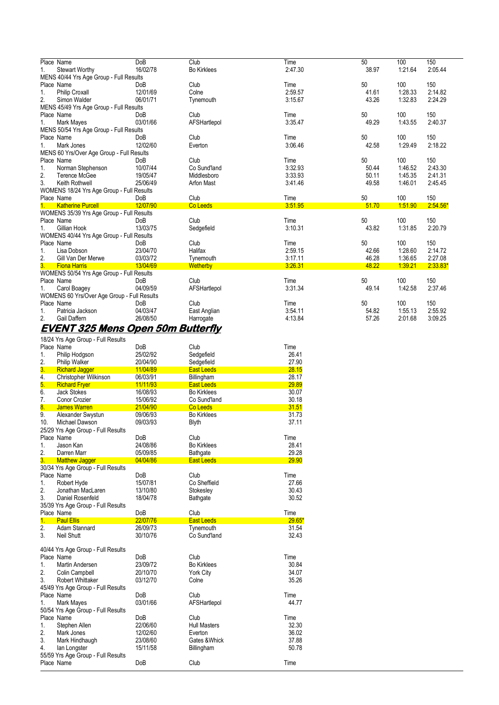|    | Place Name                                  | DoB        | Club               | Time    | 50    | 100     | 150        |
|----|---------------------------------------------|------------|--------------------|---------|-------|---------|------------|
| 1. | <b>Stewart Worthy</b>                       | 16/02/78   | <b>Bo Kirklees</b> | 2:47.30 | 38.97 | 1:21.64 | 2:05.44    |
|    | MENS 40/44 Yrs Age Group - Full Results     |            |                    |         |       |         |            |
|    | Place Name                                  | <b>DoB</b> | Club               | Time    | 50    | 100     | 150        |
| 1. | <b>Philip Croxall</b>                       | 12/01/69   | Colne              | 2:59.57 | 41.61 | 1:28.33 | 2:14.82    |
| 2. | Simon Walder                                | 06/01/71   | Tynemouth          | 3:15.67 | 43.26 | 1:32.83 | 2:24.29    |
|    | MENS 45/49 Yrs Age Group - Full Results     |            |                    |         |       |         |            |
|    | Place Name                                  | <b>DoB</b> | Club               | Time    | 50    | 100     | 150        |
| 1. | Mark Mayes                                  | 03/01/66   | AFSHartlepol       | 3:35.47 | 49.29 | 1:43.55 | 2:40.37    |
|    | MENS 50/54 Yrs Age Group - Full Results     |            |                    |         |       |         |            |
|    | Place Name                                  | <b>DoB</b> | Club               | Time    | 50    | 100     | 150        |
| 1. | Mark Jones                                  | 12/02/60   | Everton            | 3:06.46 | 42.58 | 1:29.49 | 2:18.22    |
|    | MENS 60 Yrs/Over Age Group - Full Results   |            |                    |         |       |         |            |
|    | Place Name                                  | <b>DoB</b> | Club               | Time    | 50    | 100     | 150        |
| 1. | Norman Stephenson                           | 10/07/44   | Co Sund'land       | 3:32.93 | 50.44 | 1:46.52 | 2:43.30    |
| 2. | Terence McGee                               | 19/05/47   | Middlesboro        | 3:33.93 | 50.11 | 1:45.35 | 2:41.31    |
| 3. | Keith Rothwell                              | 25/06/49   | Arfon Mast         | 3:41.46 | 49.58 | 1.46.01 | 2:45.45    |
|    | WOMENS 18/24 Yrs Age Group - Full Results   |            |                    |         |       |         |            |
|    | Place Name                                  | <b>DoB</b> | Club               | Time    | 50    | 100     | 150        |
| 1. | <b>Katherine Purcell</b>                    | 12/07/90   | Co Leeds           | 3:51.95 | 51.70 | 1:51.90 | $2:54.56*$ |
|    | WOMENS 35/39 Yrs Age Group - Full Results   |            |                    |         |       |         |            |
|    | Place Name                                  | <b>DoB</b> | Club               | Time    | 50    | 100     | 150        |
| 1. | Gillian Hook                                | 13/03/75   | Sedgefield         | 3:10.31 | 43.82 | 1:31.85 | 2:20.79    |
|    | WOMENS 40/44 Yrs Age Group - Full Results   |            |                    |         |       |         |            |
|    | Place Name                                  | DoB        | Club               | Time    | 50    | 100     | 150        |
| 1. | Lisa Dobson                                 | 23/04/70   | Halifax            | 2:59.15 | 42.66 | 1:28.60 | 2:14.72    |
| 2. | Gill Van Der Merwe                          | 03/03/72   | Tynemouth          | 3:17.11 | 46.28 | 1:36.65 | 2:27.08    |
| 3. | <b>Fiona Harris</b>                         | 13/04/69   | <b>Wetherby</b>    | 3:26.31 | 48.22 | 1:39.21 | $2:33.83*$ |
|    | WOMENS 50/54 Yrs Age Group - Full Results   |            |                    |         |       |         |            |
|    | Place Name                                  | <b>DoB</b> | Club               | Time    | 50    | 100     | 150        |
| 1. | Carol Boagey                                | 04/09/59   | AFSHartlepol       | 3:31.34 | 49.14 | 1:42.58 | 2:37.46    |
|    | WOMENS 60 Yrs/Over Age Group - Full Results |            |                    |         |       |         |            |
|    | Place Name                                  | <b>DoB</b> | Club               | Time    | 50    | 100     | 150        |
| 1. | Patricia Jackson                            | 04/03/47   | East Anglian       | 3:54.11 | 54.82 | 1:55.13 | 2:55.92    |
| 2. | Gail Daffern                                | 26/08/50   | Harrogate          | 4:13.84 | 57.26 | 2:01.68 | 3:09.25    |
|    | <u>EVENT 325 Mens Open 50m Butterfly</u>    |            |                    |         |       |         |            |
|    |                                             |            |                    |         |       |         |            |

|                  | 18/24 Yrs Age Group - Full Results |            |                     |          |
|------------------|------------------------------------|------------|---------------------|----------|
|                  | Place Name                         | DoB        | Club                | Time     |
| 1.               | Philip Hodgson                     | 25/02/92   | Sedgefield          | 26.41    |
| 2.               | <b>Philip Walker</b>               | 20/04/90   | Sedgefield          | 27.90    |
| $\overline{3}$ . | <b>Richard Jagger</b>              | 11/04/89   | <b>East Leeds</b>   | 28.15    |
| 4.               | Christopher Wilkinson              | 06/03/91   | Billingham          | 28.17    |
| 5.               | <b>Richard Fryer</b>               | 11/11/93   | <b>East Leeds</b>   | 29.89    |
| 6.               | <b>Jack Stokes</b>                 | 16/08/93   | <b>Bo Kirklees</b>  | 30.07    |
| 7.               | Conor Crozier                      | 15/06/92   | Co Sund'land        | 30.18    |
| 8 <sub>1</sub>   | <b>James Warren</b>                | 21/04/90   | Co Leeds            | 31.51    |
| 9.               | Alexander Swystun                  | 09/06/93   | <b>Bo Kirklees</b>  | 31.73    |
| 10.              | Michael Dawson                     | 09/03/93   | <b>Blyth</b>        | 37.11    |
|                  | 25/29 Yrs Age Group - Full Results |            |                     |          |
|                  | Place Name                         | DoB        | Club                | Time     |
| 1.               | Jason Kan                          | 24/08/86   | <b>Bo Kirklees</b>  | 28.41    |
| $\overline{2}$ . | Darren Marr                        | 05/09/85   | Bathgate            | 29.28    |
| 3.               | <b>Matthew Jagger</b>              | 04/04/86   | <b>East Leeds</b>   | 29.90    |
|                  | 30/34 Yrs Age Group - Full Results |            |                     |          |
|                  | Place Name                         | <b>DoB</b> | Club                | Time     |
| 1.               | Robert Hyde                        | 15/07/81   | Co Sheffield        | 27.66    |
| 2.               | Jonathan MacLaren                  | 13/10/80   | Stokesley           | 30.43    |
| 3.               | Daniel Rosenfeld                   | 18/04/78   | Bathgate            | 30.52    |
|                  | 35/39 Yrs Age Group - Full Results |            |                     |          |
|                  | Place Name                         | DoB        | Club                | Time     |
| 1.               | <b>Paul Ellis</b>                  | 22/07/76   | <b>East Leeds</b>   | $29.65*$ |
| 2.               | Adam Stannard                      | 26/09/73   | Tynemouth           | 31.54    |
| 3.               | <b>Neil Shutt</b>                  | 30/10/76   | Co Sund'land        | 32.43    |
|                  |                                    |            |                     |          |
|                  | 40/44 Yrs Age Group - Full Results |            |                     |          |
|                  | Place Name                         | <b>DoB</b> | Club                | Time     |
| 1.               | Martin Andersen                    | 23/09/72   | <b>Bo Kirklees</b>  | 30.84    |
| 2.               | Colin Campbell                     | 20/10/70   | <b>York City</b>    | 34.07    |
| 3.               | <b>Robert Whittaker</b>            | 03/12/70   | Colne               | 35.26    |
|                  | 45/49 Yrs Age Group - Full Results |            |                     |          |
|                  | Place Name                         | DoB        | Club                | Time     |
| 1.               | Mark Mayes                         | 03/01/66   | AFSHartlepol        | 44.77    |
|                  | 50/54 Yrs Age Group - Full Results |            |                     |          |
|                  | Place Name                         | <b>DoB</b> | Club                | Time     |
| 1.               | Stephen Allen                      | 22/06/60   | <b>Hull Masters</b> | 32.30    |
| 2.               | Mark Jones                         | 12/02/60   | Everton             | 36.02    |
| 3.               | Mark Hindhaugh                     | 23/08/60   | Gates & Whick       | 37.88    |
| 4.               | lan Longster                       | 15/11/58   | Billingham          | 50.78    |
|                  | 55/59 Yrs Age Group - Full Results |            |                     |          |
|                  | Place Name                         | DoB        | Club                | Time     |
|                  |                                    |            |                     |          |